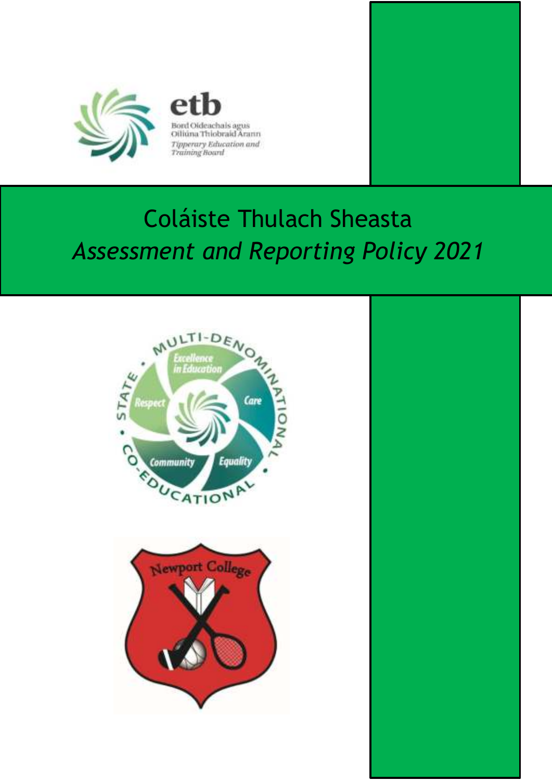

Bord Oldeachais agus<br>Oiliúna Thiobraid Árann Tipperary Education and<br>Training Board

# Coláiste Thulach Sheasta *Assessment and Reporting Policy 2021*



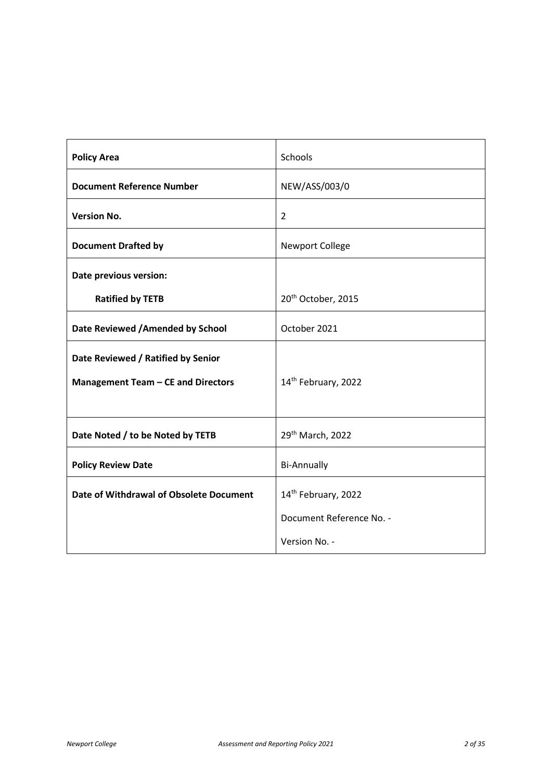| <b>Policy Area</b>                        | Schools                        |
|-------------------------------------------|--------------------------------|
| <b>Document Reference Number</b>          | NEW/ASS/003/0                  |
| <b>Version No.</b>                        | $\overline{2}$                 |
| <b>Document Drafted by</b>                | <b>Newport College</b>         |
| Date previous version:                    |                                |
| <b>Ratified by TETB</b>                   | 20 <sup>th</sup> October, 2015 |
| Date Reviewed / Amended by School         | October 2021                   |
| Date Reviewed / Ratified by Senior        |                                |
| <b>Management Team - CE and Directors</b> | 14th February, 2022            |
|                                           |                                |
| Date Noted / to be Noted by TETB          | 29th March, 2022               |
| <b>Policy Review Date</b>                 | <b>Bi-Annually</b>             |
| Date of Withdrawal of Obsolete Document   | 14th February, 2022            |
|                                           | Document Reference No. -       |
|                                           | Version No. -                  |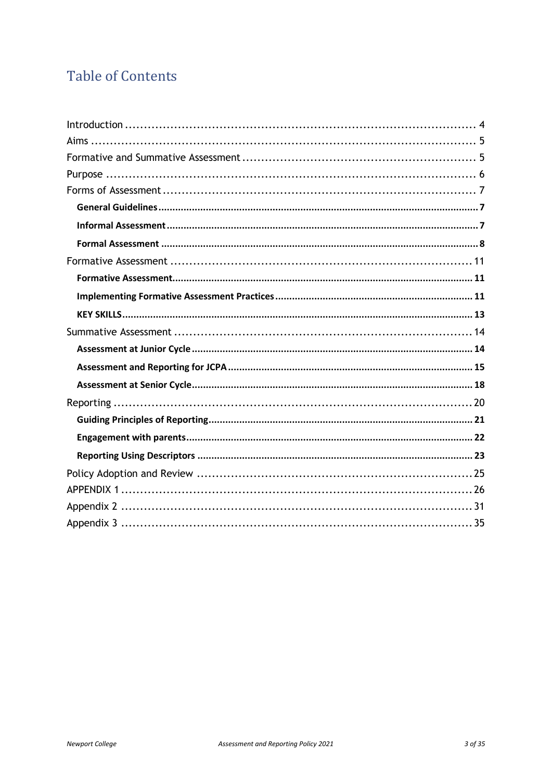### **Table of Contents**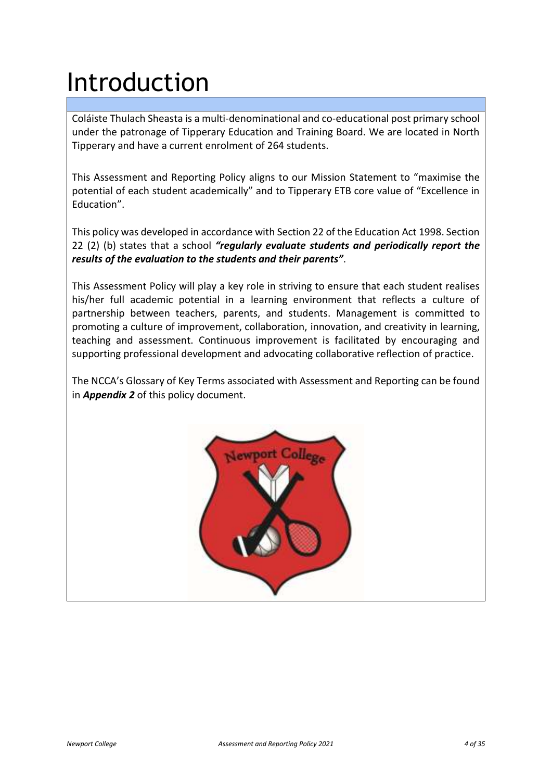# <span id="page-3-0"></span>Introduction

Coláiste Thulach Sheasta is a multi-denominational and co-educational post primary school under the patronage of Tipperary Education and Training Board. We are located in North Tipperary and have a current enrolment of 264 students.

This Assessment and Reporting Policy aligns to our Mission Statement to "maximise the potential of each student academically" and to Tipperary ETB core value of "Excellence in Education".

This policy was developed in accordance with Section 22 of the Education Act 1998. Section 22 (2) (b) states that a school *"regularly evaluate students and periodically report the results of the evaluation to the students and their parents"*.

This Assessment Policy will play a key role in striving to ensure that each student realises his/her full academic potential in a learning environment that reflects a culture of partnership between teachers, parents, and students. Management is committed to promoting a culture of improvement, collaboration, innovation, and creativity in learning, teaching and assessment. Continuous improvement is facilitated by encouraging and supporting professional development and advocating collaborative reflection of practice.

The NCCA's Glossary of Key Terms associated with Assessment and Reporting can be found in *Appendix 2* of this policy document.

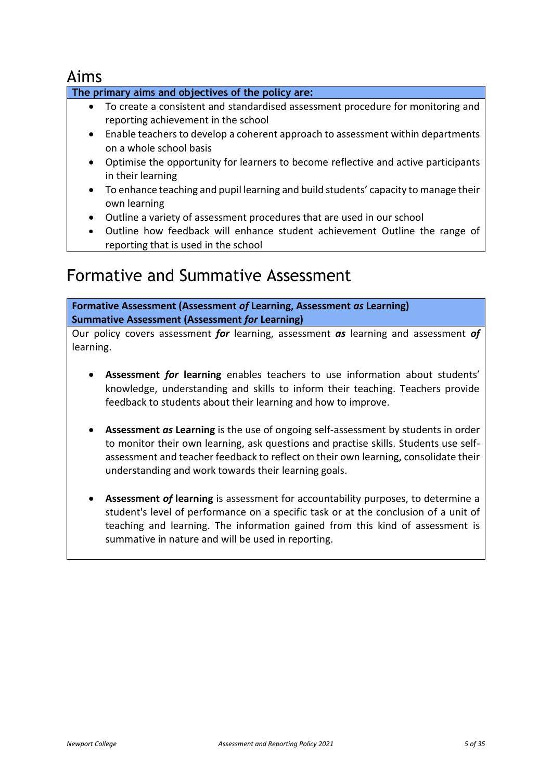### <span id="page-4-0"></span>Aims

#### **The primary aims and objectives of the policy are:**

- To create a consistent and standardised assessment procedure for monitoring and reporting achievement in the school
- Enable teachers to develop a coherent approach to assessment within departments on a whole school basis
- Optimise the opportunity for learners to become reflective and active participants in their learning
- To enhance teaching and pupil learning and build students' capacity to manage their own learning
- Outline a variety of assessment procedures that are used in our school
- Outline how feedback will enhance student achievement Outline the range of reporting that is used in the school

### <span id="page-4-1"></span>Formative and Summative Assessment

**Formative Assessment (Assessment** *of* **Learning, Assessment** *as* **Learning) Summative Assessment (Assessment** *for* **Learning)** 

Our policy covers assessment *for* learning, assessment *as* learning and assessment *of* learning.

- **Assessment** *for* **learning** enables teachers to use information about students' knowledge, understanding and skills to inform their teaching. Teachers provide feedback to students about their learning and how to improve.
- **Assessment** *as* **Learning** is the use of ongoing self-assessment by students in order to monitor their own learning, ask questions and practise skills. Students use selfassessment and teacher feedback to reflect on their own learning, consolidate their understanding and work towards their learning goals.
- **Assessment** *of* **learning** is assessment for accountability purposes, to determine a student's level of performance on a specific task or at the conclusion of a unit of teaching and learning. The information gained from this kind of assessment is summative in nature and will be used in reporting.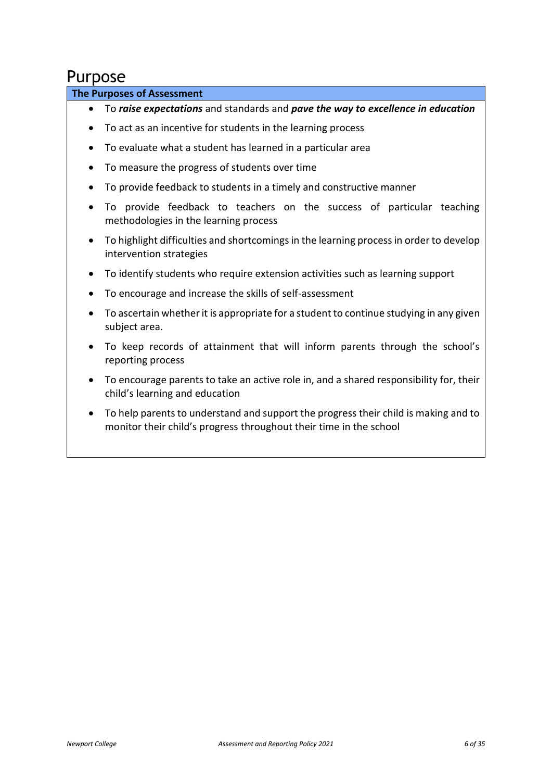### <span id="page-5-0"></span>Purpose

#### **The Purposes of Assessment**

- To *raise expectations* and standards and *pave the way to excellence in education*
- To act as an incentive for students in the learning process
- To evaluate what a student has learned in a particular area
- To measure the progress of students over time
- To provide feedback to students in a timely and constructive manner
- To provide feedback to teachers on the success of particular teaching methodologies in the learning process
- To highlight difficulties and shortcomings in the learning process in order to develop intervention strategies
- To identify students who require extension activities such as learning support
- To encourage and increase the skills of self-assessment
- To ascertain whether it is appropriate for a student to continue studying in any given subject area.
- To keep records of attainment that will inform parents through the school's reporting process
- To encourage parents to take an active role in, and a shared responsibility for, their child's learning and education
- To help parents to understand and support the progress their child is making and to monitor their child's progress throughout their time in the school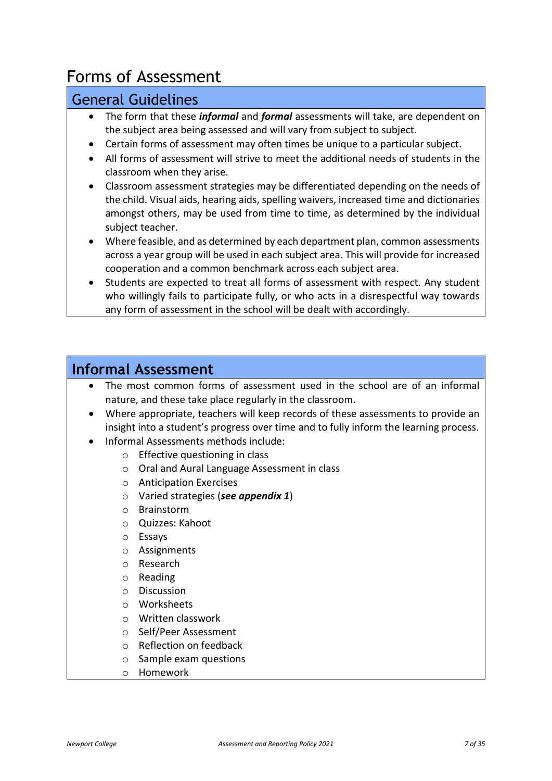# <span id="page-6-0"></span>Forms of Assessment

### <span id="page-6-1"></span>General Guidelines

- The form that these *informal* and *formal* assessments will take, are dependent on the subject area being assessed and will vary from subject to subject.
- Certain forms of assessment may often times be unique to a particular subject.
- All forms of assessment will strive to meet the additional needs of students in the classroom when they arise.
- Classroom assessment strategies may be differentiated depending on the needs of the child. Visual aids, hearing aids, spelling waivers, increased time and dictionaries amongst others, may be used from time to time, as determined by the individual subject teacher.
- Where feasible, and as determined by each department plan, common assessments across a year group will be used in each subject area. This will provide for increased cooperation and a common benchmark across each subject area.
- Students are expected to treat all forms of assessment with respect. Any student who willingly fails to participate fully, or who acts in a disrespectful way towards any form of assessment in the school will be dealt with accordingly.

### <span id="page-6-2"></span>**Informal Assessment**

- The most common forms of assessment used in the school are of an informal nature, and these take place regularly in the classroom.
- Where appropriate, teachers will keep records of these assessments to provide an insight into a student's progress over time and to fully inform the learning process.
- Informal Assessments methods include:
	- o Effective questioning in class
	- o Oral and Aural Language Assessment in class
	- o Anticipation Exercises
	- o Varied strategies (*see appendix 1*)
	- o Brainstorm
	- o Quizzes: Kahoot
	- o Essays
	- o Assignments
	- o Research
	- o Reading
	- o Discussion
	- o Worksheets
	- o Written classwork
	- o Self/Peer Assessment
	- o Reflection on feedback
	- o Sample exam questions
	- o Homework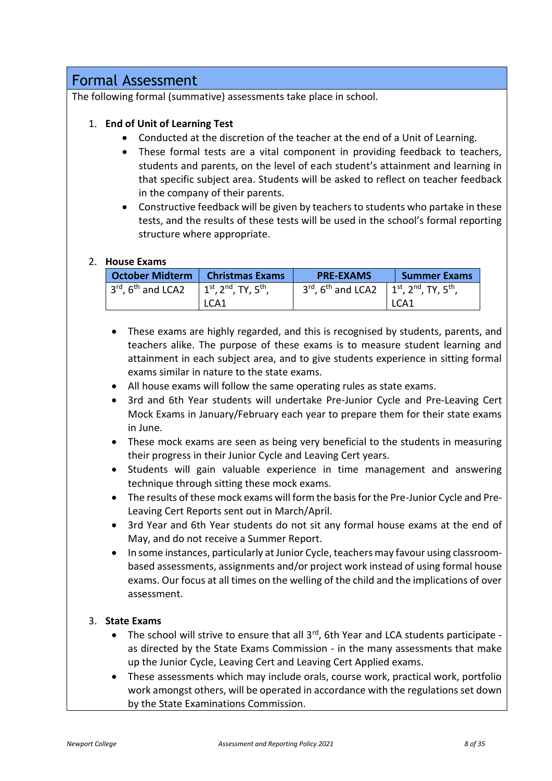### <span id="page-7-0"></span>Formal Assessment

The following formal (summative) assessments take place in school.

#### 1. **End of Unit of Learning Test**

- Conducted at the discretion of the teacher at the end of a Unit of Learning.
- These formal tests are a vital component in providing feedback to teachers, students and parents, on the level of each student's attainment and learning in that specific subject area. Students will be asked to reflect on teacher feedback in the company of their parents.
- Constructive feedback will be given by teachers to students who partake in these tests, and the results of these tests will be used in the school's formal reporting structure where appropriate.

#### 2. **House Exams**

| <b>October Midterm</b>           | <b>Christmas Exams</b>                             | <b>PRE-EXAMS</b>                                                                                | <b>Summer Exams</b> |
|----------------------------------|----------------------------------------------------|-------------------------------------------------------------------------------------------------|---------------------|
| $3rd$ , 6 <sup>th</sup> and LCA2 | $1^{st}$ , 2 <sup>nd</sup> , TY, 5 <sup>th</sup> , | $3^{rd}$ , 6 <sup>th</sup> and LCA2   1 <sup>st</sup> , 2 <sup>nd</sup> , TY, 5 <sup>th</sup> , |                     |
|                                  | LCA1                                               |                                                                                                 | LCA1                |

- These exams are highly regarded, and this is recognised by students, parents, and teachers alike. The purpose of these exams is to measure student learning and attainment in each subject area, and to give students experience in sitting formal exams similar in nature to the state exams.
- All house exams will follow the same operating rules as state exams.
- 3rd and 6th Year students will undertake Pre-Junior Cycle and Pre-Leaving Cert Mock Exams in January/February each year to prepare them for their state exams in June.
- These mock exams are seen as being very beneficial to the students in measuring their progress in their Junior Cycle and Leaving Cert years.
- Students will gain valuable experience in time management and answering technique through sitting these mock exams.
- The results of these mock exams will form the basis for the Pre-Junior Cycle and Pre-Leaving Cert Reports sent out in March/April.
- 3rd Year and 6th Year students do not sit any formal house exams at the end of May, and do not receive a Summer Report.
- In some instances, particularly at Junior Cycle, teachers may favour using classroombased assessments, assignments and/or project work instead of using formal house exams. Our focus at all times on the welling of the child and the implications of over assessment.

#### 3. **State Exams**

- The school will strive to ensure that all  $3<sup>rd</sup>$ , 6th Year and LCA students participate as directed by the State Exams Commission - in the many assessments that make up the Junior Cycle, Leaving Cert and Leaving Cert Applied exams.
- These assessments which may include orals, course work, practical work, portfolio work amongst others, will be operated in accordance with the regulations set down by the State Examinations Commission.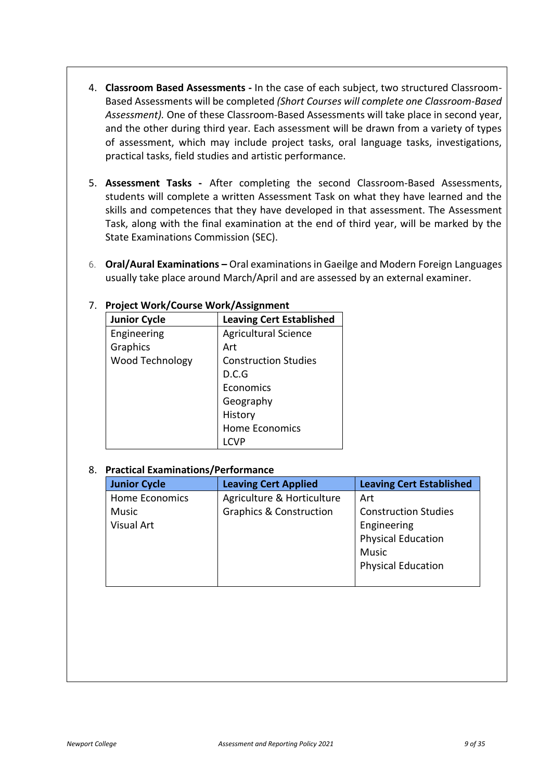- 4. **Classroom Based Assessments** In the case of each subject, two structured Classroom-Based Assessments will be completed *(Short Courses will complete one Classroom-Based Assessment).* One of these Classroom-Based Assessments will take place in second year, and the other during third year. Each assessment will be drawn from a variety of types of assessment, which may include project tasks, oral language tasks, investigations, practical tasks, field studies and artistic performance.
- 5. **Assessment Tasks -** After completing the second Classroom-Based Assessments, students will complete a written Assessment Task on what they have learned and the skills and competences that they have developed in that assessment. The Assessment Task, along with the final examination at the end of third year, will be marked by the State Examinations Commission (SEC).
- 6. **Oral/Aural Examinations –** Oral examinations in Gaeilge and Modern Foreign Languages usually take place around March/April and are assessed by an external examiner.

| <b>Junior Cycle</b> | <b>Leaving Cert Established</b> |
|---------------------|---------------------------------|
| Engineering         | <b>Agricultural Science</b>     |
| Graphics            | Art                             |
| Wood Technology     | <b>Construction Studies</b>     |
|                     | D.C.G                           |
|                     | Economics                       |
|                     | Geography                       |
|                     | History                         |
|                     | <b>Home Economics</b>           |
|                     |                                 |

#### 7. **Project Work/Course Work/Assignment**

#### 8. **Practical Examinations/Performance**

| <b>Junior Cycle</b> | <b>Leaving Cert Applied</b>        | <b>Leaving Cert Established</b> |
|---------------------|------------------------------------|---------------------------------|
| Home Economics      | Agriculture & Horticulture         | Art                             |
| Music               | <b>Graphics &amp; Construction</b> | <b>Construction Studies</b>     |
| Visual Art          |                                    | Engineering                     |
|                     |                                    | <b>Physical Education</b>       |
|                     |                                    | <b>Music</b>                    |
|                     |                                    | <b>Physical Education</b>       |
|                     |                                    |                                 |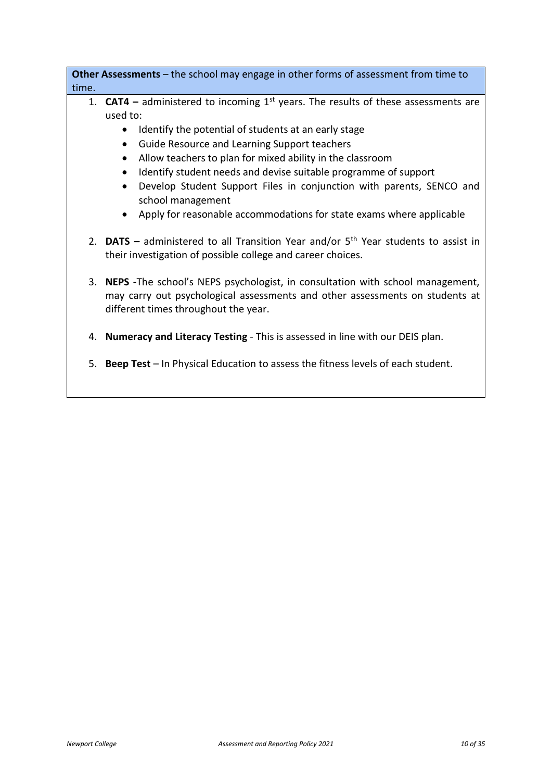**Other Assessments** – the school may engage in other forms of assessment from time to time.

- 1. **CAT4 –** administered to incoming 1st years. The results of these assessments are used to:
	- Identify the potential of students at an early stage
	- Guide Resource and Learning Support teachers
	- Allow teachers to plan for mixed ability in the classroom
	- Identify student needs and devise suitable programme of support
	- Develop Student Support Files in conjunction with parents, SENCO and school management
	- Apply for reasonable accommodations for state exams where applicable
- 2. **DATS –** administered to all Transition Year and/or 5th Year students to assist in their investigation of possible college and career choices.
- 3. **NEPS -**The school's NEPS psychologist, in consultation with school management, may carry out psychological assessments and other assessments on students at different times throughout the year.
- 4. **Numeracy and Literacy Testing**  This is assessed in line with our DEIS plan.
- 5. **Beep Test**  In Physical Education to assess the fitness levels of each student.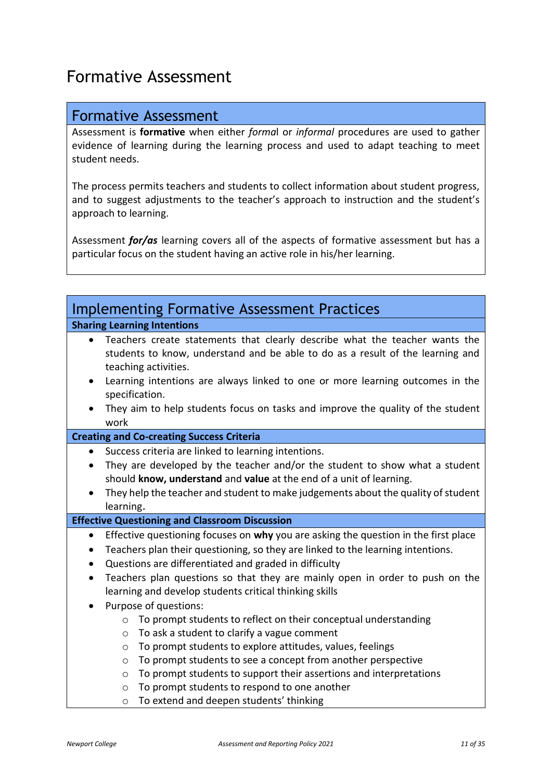## <span id="page-10-0"></span>Formative Assessment

### <span id="page-10-1"></span>Formative Assessment

Assessment is **formative** when either *forma*l or *informal* procedures are used to gather evidence of learning during the learning process and used to adapt teaching to meet student needs.

The process permits teachers and students to collect information about student progress, and to suggest adjustments to the teacher's approach to instruction and the student's approach to learning.

Assessment *for/as* learning covers all of the aspects of formative assessment but has a particular focus on the student having an active role in his/her learning.

<span id="page-10-2"></span>

| <b>Implementing Formative Assessment Practices</b>                                                                                                                                                                                                                                                                                                                                                                                                                                                                  |
|---------------------------------------------------------------------------------------------------------------------------------------------------------------------------------------------------------------------------------------------------------------------------------------------------------------------------------------------------------------------------------------------------------------------------------------------------------------------------------------------------------------------|
| <b>Sharing Learning Intentions</b>                                                                                                                                                                                                                                                                                                                                                                                                                                                                                  |
| Teachers create statements that clearly describe what the teacher wants the<br>$\bullet$<br>students to know, understand and be able to do as a result of the learning and<br>teaching activities.<br>Learning intentions are always linked to one or more learning outcomes in the<br>$\bullet$<br>specification.<br>They aim to help students focus on tasks and improve the quality of the student<br>work                                                                                                       |
| <b>Creating and Co-creating Success Criteria</b>                                                                                                                                                                                                                                                                                                                                                                                                                                                                    |
| Success criteria are linked to learning intentions.<br>$\bullet$<br>They are developed by the teacher and/or the student to show what a student<br>$\bullet$<br>should know, understand and value at the end of a unit of learning.<br>They help the teacher and student to make judgements about the quality of student<br>learning.                                                                                                                                                                               |
| <b>Effective Questioning and Classroom Discussion</b>                                                                                                                                                                                                                                                                                                                                                                                                                                                               |
| Effective questioning focuses on why you are asking the question in the first place<br>Teachers plan their questioning, so they are linked to the learning intentions.<br>$\bullet$<br>Questions are differentiated and graded in difficulty<br>$\bullet$                                                                                                                                                                                                                                                           |
| Teachers plan questions so that they are mainly open in order to push on the<br>$\bullet$<br>learning and develop students critical thinking skills                                                                                                                                                                                                                                                                                                                                                                 |
| Purpose of questions:<br>$\bullet$<br>To prompt students to reflect on their conceptual understanding<br>$\circ$<br>To ask a student to clarify a vague comment<br>$\circ$<br>To prompt students to explore attitudes, values, feelings<br>$\circ$<br>To prompt students to see a concept from another perspective<br>O<br>To prompt students to support their assertions and interpretations<br>$\circ$<br>To prompt students to respond to one another<br>$\circ$<br>To extend and deepen students' thinking<br>O |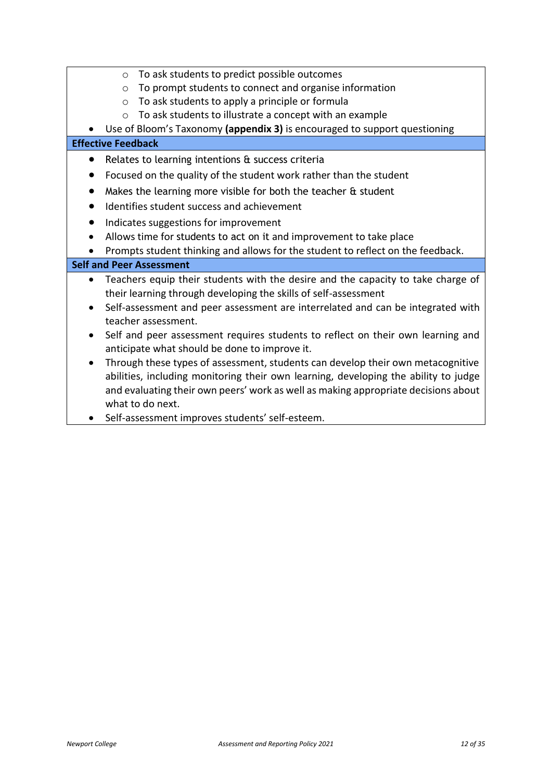| To ask students to predict possible outcomes<br>$\circ$                                                                                                                                                                                                                                       |
|-----------------------------------------------------------------------------------------------------------------------------------------------------------------------------------------------------------------------------------------------------------------------------------------------|
| To prompt students to connect and organise information<br>$\circ$                                                                                                                                                                                                                             |
| To ask students to apply a principle or formula<br>$\circ$                                                                                                                                                                                                                                    |
| To ask students to illustrate a concept with an example<br>$\Omega$                                                                                                                                                                                                                           |
| Use of Bloom's Taxonomy (appendix 3) is encouraged to support questioning                                                                                                                                                                                                                     |
| <b>Effective Feedback</b>                                                                                                                                                                                                                                                                     |
| Relates to learning intentions & success criteria                                                                                                                                                                                                                                             |
| Focused on the quality of the student work rather than the student                                                                                                                                                                                                                            |
| Makes the learning more visible for both the teacher & student                                                                                                                                                                                                                                |
| Identifies student success and achievement                                                                                                                                                                                                                                                    |
| Indicates suggestions for improvement                                                                                                                                                                                                                                                         |
| Allows time for students to act on it and improvement to take place                                                                                                                                                                                                                           |
| Prompts student thinking and allows for the student to reflect on the feedback.                                                                                                                                                                                                               |
| <b>Self and Peer Assessment</b>                                                                                                                                                                                                                                                               |
| Teachers equip their students with the desire and the capacity to take charge of<br>their learning through developing the skills of self-assessment                                                                                                                                           |
| Self-assessment and peer assessment are interrelated and can be integrated with<br>$\bullet$<br>teacher assessment.                                                                                                                                                                           |
| Self and peer assessment requires students to reflect on their own learning and<br>$\bullet$<br>anticipate what should be done to improve it.                                                                                                                                                 |
| Through these types of assessment, students can develop their own metacognitive<br>$\bullet$<br>abilities, including monitoring their own learning, developing the ability to judge<br>and evaluating their own peers' work as well as making appropriate decisions about<br>what to do next. |

• Self-assessment improves students' self-esteem.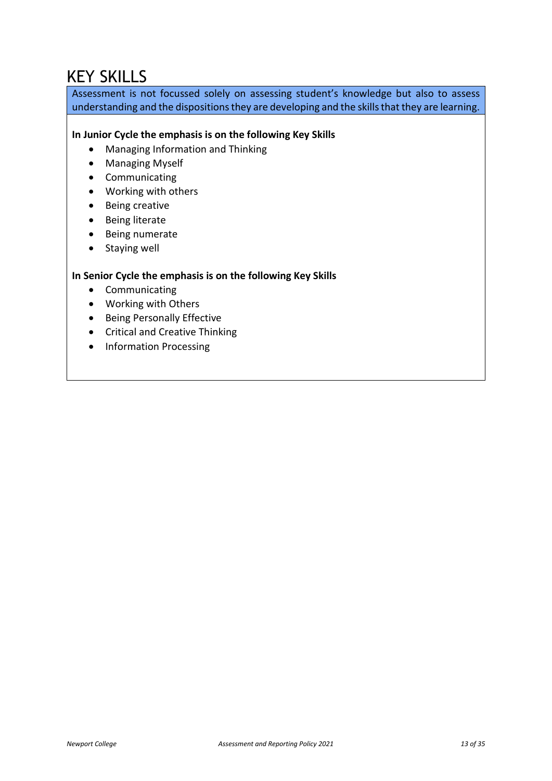# <span id="page-12-0"></span>KEY SKILLS

Assessment is not focussed solely on assessing student's knowledge but also to assess understanding and the dispositions they are developing and the skills that they are learning.

#### **In Junior Cycle the emphasis is on the following Key Skills**

- Managing Information and Thinking
- Managing Myself
- Communicating
- Working with others
- Being creative
- Being literate
- Being numerate
- Staying well

#### **In Senior Cycle the emphasis is on the following Key Skills**

- Communicating
- Working with Others
- Being Personally Effective
- Critical and Creative Thinking
- Information Processing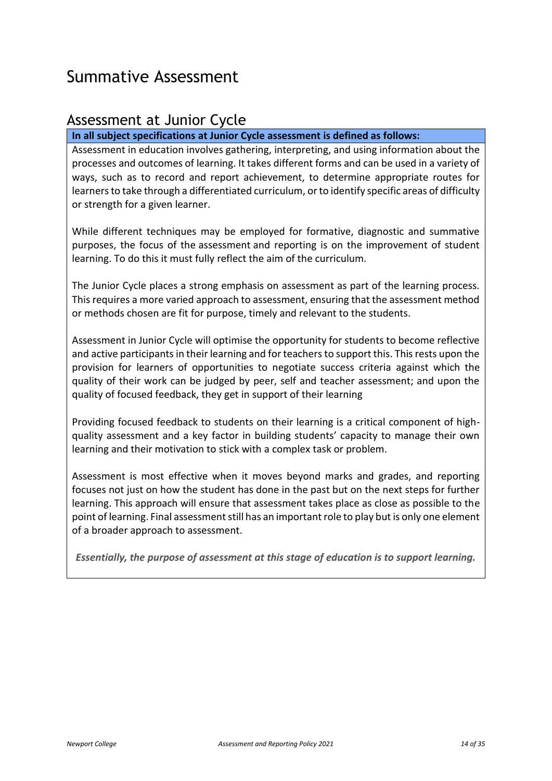# <span id="page-13-0"></span>Summative Assessment

### <span id="page-13-1"></span>Assessment at Junior Cycle

**In all subject specifications at Junior Cycle assessment is defined as follows:** 

Assessment in education involves gathering, interpreting, and using information about the processes and outcomes of learning. It takes different forms and can be used in a variety of ways, such as to record and report achievement, to determine appropriate routes for learners to take through a differentiated curriculum, or to identify specific areas of difficulty or strength for a given learner.

While different techniques may be employed for formative, diagnostic and summative purposes, the focus of the assessment and reporting is on the improvement of student learning. To do this it must fully reflect the aim of the curriculum.

The Junior Cycle places a strong emphasis on assessment as part of the learning process. This requires a more varied approach to assessment, ensuring that the assessment method or methods chosen are fit for purpose, timely and relevant to the students.

Assessment in Junior Cycle will optimise the opportunity for students to become reflective and active participants in their learning and for teachers to support this. This rests upon the provision for learners of opportunities to negotiate success criteria against which the quality of their work can be judged by peer, self and teacher assessment; and upon the quality of focused feedback, they get in support of their learning

Providing focused feedback to students on their learning is a critical component of highquality assessment and a key factor in building students' capacity to manage their own learning and their motivation to stick with a complex task or problem.

Assessment is most effective when it moves beyond marks and grades, and reporting focuses not just on how the student has done in the past but on the next steps for further learning. This approach will ensure that assessment takes place as close as possible to the point of learning. Final assessment still has an important role to play but is only one element of a broader approach to assessment.

*Essentially, the purpose of assessment at this stage of education is to support learning.*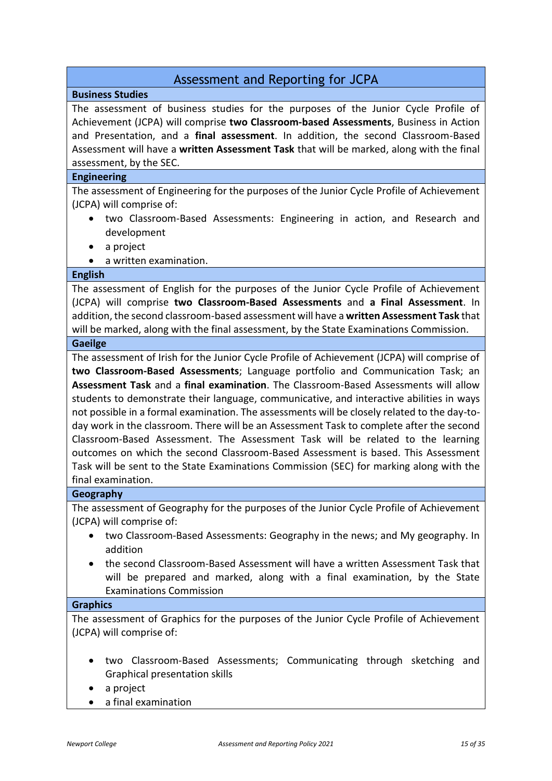### Assessment and Reporting for JCPA

#### <span id="page-14-0"></span>**Business Studies**

The assessment of business studies for the purposes of the Junior Cycle Profile of Achievement (JCPA) will comprise **two Classroom-based Assessments**, Business in Action and Presentation, and a **final assessment**. In addition, the second Classroom-Based Assessment will have a **written Assessment Task** that will be marked, along with the final assessment, by the SEC.

#### **Engineering**

The assessment of Engineering for the purposes of the Junior Cycle Profile of Achievement (JCPA) will comprise of:

- two Classroom-Based Assessments: Engineering in action, and Research and development
- a project
- a written examination.

#### **English**

The assessment of English for the purposes of the Junior Cycle Profile of Achievement (JCPA) will comprise **two Classroom-Based Assessments** and **a Final Assessment**. In addition, the second classroom-based assessment will have a **written Assessment Task** that will be marked, along with the final assessment, by the State Examinations Commission.

#### **Gaeilge**

The assessment of Irish for the Junior Cycle Profile of Achievement (JCPA) will comprise of **two Classroom-Based Assessments**; Language portfolio and Communication Task; an **Assessment Task** and a **final examination**. The Classroom-Based Assessments will allow students to demonstrate their language, communicative, and interactive abilities in ways not possible in a formal examination. The assessments will be closely related to the day-today work in the classroom. There will be an Assessment Task to complete after the second Classroom-Based Assessment. The Assessment Task will be related to the learning outcomes on which the second Classroom-Based Assessment is based. This Assessment Task will be sent to the State Examinations Commission (SEC) for marking along with the final examination.

#### **Geography**

The assessment of Geography for the purposes of the Junior Cycle Profile of Achievement (JCPA) will comprise of:

- two Classroom-Based Assessments: Geography in the news; and My geography. In addition
- the second Classroom-Based Assessment will have a written Assessment Task that will be prepared and marked, along with a final examination, by the State Examinations Commission

#### **Graphics**

The assessment of Graphics for the purposes of the Junior Cycle Profile of Achievement (JCPA) will comprise of:

- two Classroom-Based Assessments; Communicating through sketching and Graphical presentation skills
- a project
- a final examination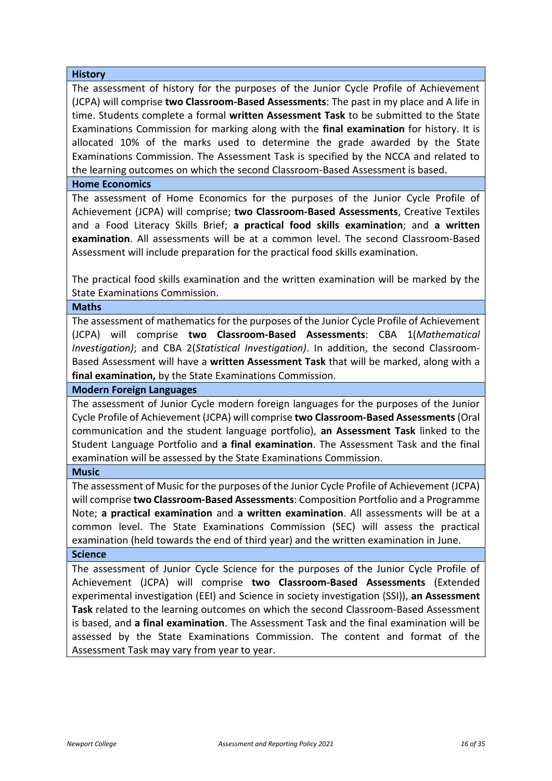#### **History**

The assessment of history for the purposes of the Junior Cycle Profile of Achievement (JCPA) will comprise **two Classroom-Based Assessments**: The past in my place and A life in time. Students complete a formal **written Assessment Task** to be submitted to the State Examinations Commission for marking along with the **final examination** for history. It is allocated 10% of the marks used to determine the grade awarded by the State Examinations Commission. The Assessment Task is specified by the NCCA and related to the learning outcomes on which the second Classroom-Based Assessment is based.

#### **Home Economics**

The assessment of Home Economics for the purposes of the Junior Cycle Profile of Achievement (JCPA) will comprise; **two Classroom-Based Assessments**, Creative Textiles and a Food Literacy Skills Brief; **a practical food skills examination**; and **a written examination**. All assessments will be at a common level. The second Classroom-Based Assessment will include preparation for the practical food skills examination.

The practical food skills examination and the written examination will be marked by the State Examinations Commission.

#### **Maths**

The assessment of mathematics for the purposes of the Junior Cycle Profile of Achievement (JCPA) will comprise **two Classroom-Based Assessments**: CBA 1(*Mathematical Investigation)*; and CBA 2(*Statistical Investigation)*. In addition, the second Classroom-Based Assessment will have a **written Assessment Task** that will be marked, along with a **final examination,** by the State Examinations Commission.

#### **Modern Foreign Languages**

The assessment of Junior Cycle modern foreign languages for the purposes of the Junior Cycle Profile of Achievement (JCPA) will comprise **two Classroom-Based Assessments** (Oral communication and the student language portfolio), **an Assessment Task** linked to the Student Language Portfolio and **a final examination**. The Assessment Task and the final examination will be assessed by the State Examinations Commission.

#### **Music**

The assessment of Music for the purposes of the Junior Cycle Profile of Achievement (JCPA) will comprise **two Classroom-Based Assessments**: Composition Portfolio and a Programme Note; **a practical examination** and **a written examination**. All assessments will be at a common level. The State Examinations Commission (SEC) will assess the practical examination (held towards the end of third year) and the written examination in June. **Science** 

#### The assessment of Junior Cycle Science for the purposes of the Junior Cycle Profile of Achievement (JCPA) will comprise **two Classroom-Based Assessments** (Extended experimental investigation (EEI) and Science in society investigation (SSI)), **an Assessment Task** related to the learning outcomes on which the second Classroom-Based Assessment is based, and **a final examination**. The Assessment Task and the final examination will be assessed by the State Examinations Commission. The content and format of the Assessment Task may vary from year to year.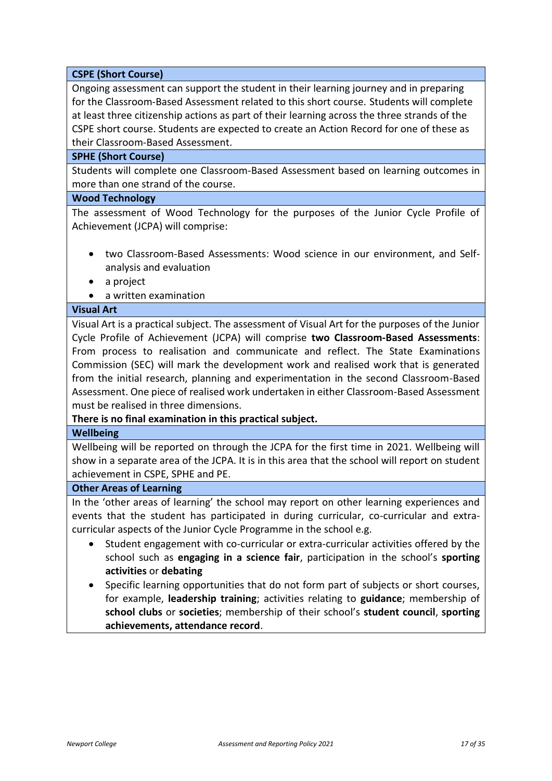#### **CSPE (Short Course)**

Ongoing assessment can support the student in their learning journey and in preparing for the Classroom-Based Assessment related to this short course. Students will complete at least three citizenship actions as part of their learning across the three strands of the CSPE short course. Students are expected to create an Action Record for one of these as their Classroom-Based Assessment.

#### **SPHE (Short Course)**

Students will complete one Classroom-Based Assessment based on learning outcomes in more than one strand of the course.

#### **Wood Technology**

The assessment of Wood Technology for the purposes of the Junior Cycle Profile of Achievement (JCPA) will comprise:

- two Classroom-Based Assessments: Wood science in our environment, and Selfanalysis and evaluation
- a project
- a written examination

#### **Visual Art**

Visual Art is a practical subject. The assessment of Visual Art for the purposes of the Junior Cycle Profile of Achievement (JCPA) will comprise **two Classroom-Based Assessments**: From process to realisation and communicate and reflect. The State Examinations Commission (SEC) will mark the development work and realised work that is generated from the initial research, planning and experimentation in the second Classroom-Based Assessment. One piece of realised work undertaken in either Classroom-Based Assessment must be realised in three dimensions.

#### **There is no final examination in this practical subject.**

#### **Wellbeing**

Wellbeing will be reported on through the JCPA for the first time in 2021. Wellbeing will show in a separate area of the JCPA. It is in this area that the school will report on student achievement in CSPE, SPHE and PE.

#### **Other Areas of Learning**

In the 'other areas of learning' the school may report on other learning experiences and events that the student has participated in during curricular, co-curricular and extracurricular aspects of the Junior Cycle Programme in the school e.g.

- Student engagement with co-curricular or extra-curricular activities offered by the school such as **engaging in a science fair**, participation in the school's **sporting activities** or **debating**
- Specific learning opportunities that do not form part of subjects or short courses, for example, **leadership training**; activities relating to **guidance**; membership of **school clubs** or **societies**; membership of their school's **student council**, **sporting achievements, attendance record**.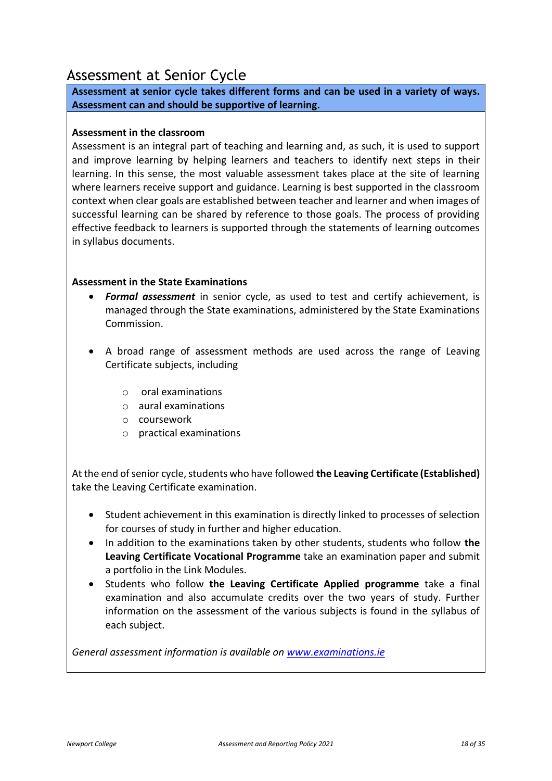### <span id="page-17-0"></span>Assessment at Senior Cycle

**Assessment at senior cycle takes different forms and can be used in a variety of ways. Assessment can and should be supportive of learning.** 

#### **Assessment in the classroom**

Assessment is an integral part of teaching and learning and, as such, it is used to support and improve learning by helping learners and teachers to identify next steps in their learning. In this sense, the most valuable assessment takes place at the site of learning where learners receive support and guidance. Learning is best supported in the classroom context when clear goals are established between teacher and learner and when images of successful learning can be shared by reference to those goals. The process of providing effective feedback to learners is supported through the statements of learning outcomes in syllabus documents.

#### **Assessment in the State Examinations**

- *Formal assessment* in senior cycle, as used to test and certify achievement, is managed through the State examinations, administered by the State Examinations Commission.
- A broad range of assessment methods are used across the range of Leaving Certificate subjects, including
	- o oral examinations
	- o aural examinations
	- o coursework
	- o practical examinations

At the end of senior cycle, students who have followed **the Leaving Certificate (Established)** take the Leaving Certificate examination.

- Student achievement in this examination is directly linked to processes of selection for courses of study in further and higher education.
- In addition to the examinations taken by other students, students who follow **the Leaving Certificate Vocational Programme** take an examination paper and submit a portfolio in the Link Modules.
- Students who follow **the Leaving Certificate Applied programme** take a final examination and also accumulate credits over the two years of study. Further information on the assessment of the various subjects is found in the syllabus of each subject.

*General assessment information is available on [www.examinations.ie](http://www.examinations.ie/)*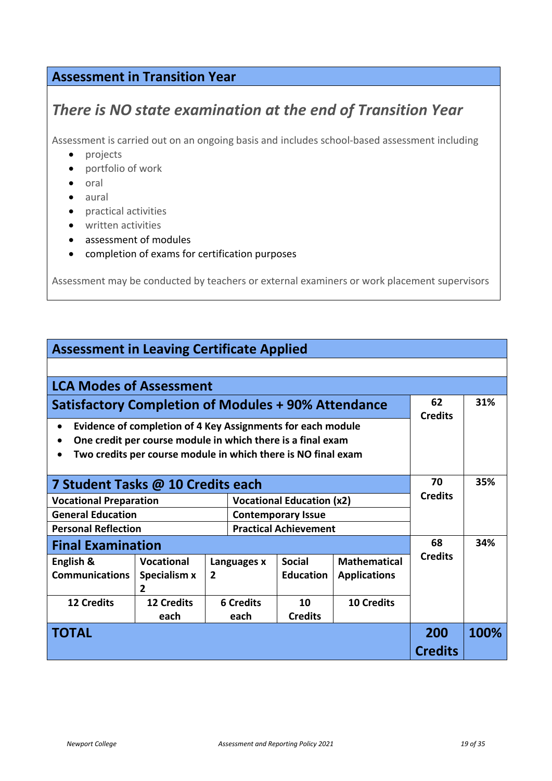### **Assessment in Transition Year**

### *There is NO state examination at the end of Transition Year*

Assessment is carried out on an ongoing basis and includes school-based assessment including

- projects
- portfolio of work
- oral
- aural
- practical activities
- written activities
- assessment of modules
- completion of exams for certification purposes

Assessment may be conducted by teachers or external examiners or work placement supervisors

| <b>Assessment in Leaving Certificate Applied</b>                                                                                                                                                         |                                |                  |             |                                  |                     |                |      |
|----------------------------------------------------------------------------------------------------------------------------------------------------------------------------------------------------------|--------------------------------|------------------|-------------|----------------------------------|---------------------|----------------|------|
|                                                                                                                                                                                                          |                                |                  |             |                                  |                     |                |      |
| <b>LCA Modes of Assessment</b>                                                                                                                                                                           |                                |                  |             |                                  |                     |                |      |
| Satisfactory Completion of Modules + 90% Attendance                                                                                                                                                      |                                |                  |             | 62<br><b>Credits</b>             | 31%                 |                |      |
| Evidence of completion of 4 Key Assignments for each module<br>$\bullet$<br>One credit per course module in which there is a final exam<br>Two credits per course module in which there is NO final exam |                                |                  |             |                                  |                     |                |      |
| 7 Student Tasks @ 10 Credits each                                                                                                                                                                        |                                |                  |             |                                  |                     | 70             | 35%  |
| <b>Vocational Preparation</b>                                                                                                                                                                            |                                |                  |             | <b>Vocational Education (x2)</b> |                     | <b>Credits</b> |      |
| <b>General Education</b>                                                                                                                                                                                 |                                |                  |             | <b>Contemporary Issue</b>        |                     |                |      |
| <b>Personal Reflection</b>                                                                                                                                                                               |                                |                  |             | <b>Practical Achievement</b>     |                     |                |      |
| <b>Final Examination</b>                                                                                                                                                                                 |                                |                  |             |                                  | 68                  | 34%            |      |
| English &                                                                                                                                                                                                | Vocational                     |                  | Languages x | <b>Social</b>                    | <b>Mathematical</b> | <b>Credits</b> |      |
| <b>Communications</b>                                                                                                                                                                                    | Specialism x<br>$\overline{2}$ | $\overline{2}$   |             | <b>Education</b>                 | <b>Applications</b> |                |      |
| <b>12 Credits</b>                                                                                                                                                                                        | <b>12 Credits</b>              | <b>6 Credits</b> |             | 10                               | <b>10 Credits</b>   |                |      |
|                                                                                                                                                                                                          | each                           |                  | each        | <b>Credits</b>                   |                     |                |      |
| TOTAL                                                                                                                                                                                                    |                                |                  |             |                                  |                     | 200            | 100% |
|                                                                                                                                                                                                          |                                |                  |             |                                  |                     | <b>Credits</b> |      |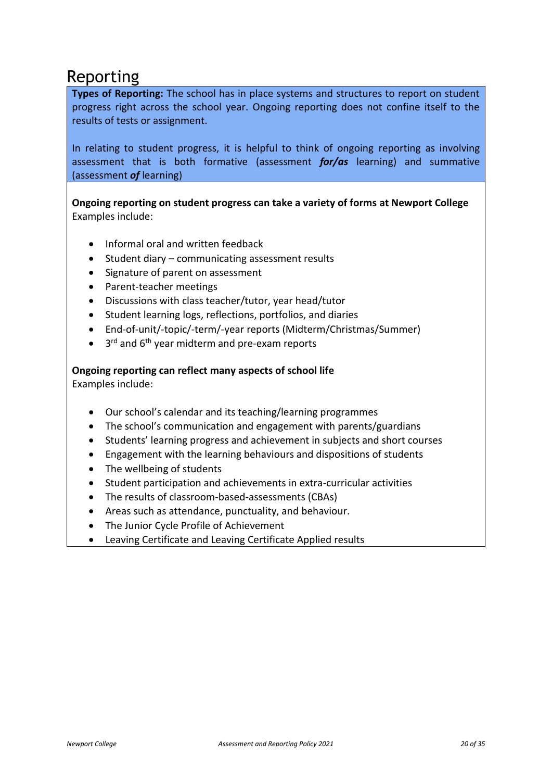### <span id="page-19-0"></span>Reporting

**Types of Reporting:** The school has in place systems and structures to report on student progress right across the school year. Ongoing reporting does not confine itself to the results of tests or assignment.

In relating to student progress, it is helpful to think of ongoing reporting as involving assessment that is both formative (assessment *for/as* learning) and summative (assessment *of* learning)

**Ongoing reporting on student progress can take a variety of forms at Newport College**  Examples include:

- Informal oral and written feedback
- Student diary communicating assessment results
- Signature of parent on assessment
- Parent-teacher meetings
- Discussions with class teacher/tutor, year head/tutor
- Student learning logs, reflections, portfolios, and diaries
- End-of-unit/-topic/-term/-year reports (Midterm/Christmas/Summer)
- $\bullet$  3<sup>rd</sup> and 6<sup>th</sup> year midterm and pre-exam reports

#### **Ongoing reporting can reflect many aspects of school life**

Examples include:

- Our school's calendar and its teaching/learning programmes
- The school's communication and engagement with parents/guardians
- Students' learning progress and achievement in subjects and short courses
- Engagement with the learning behaviours and dispositions of students
- The wellbeing of students
- Student participation and achievements in extra-curricular activities
- The results of classroom-based-assessments (CBAs)
- Areas such as attendance, punctuality, and behaviour.
- The Junior Cycle Profile of Achievement
- Leaving Certificate and Leaving Certificate Applied results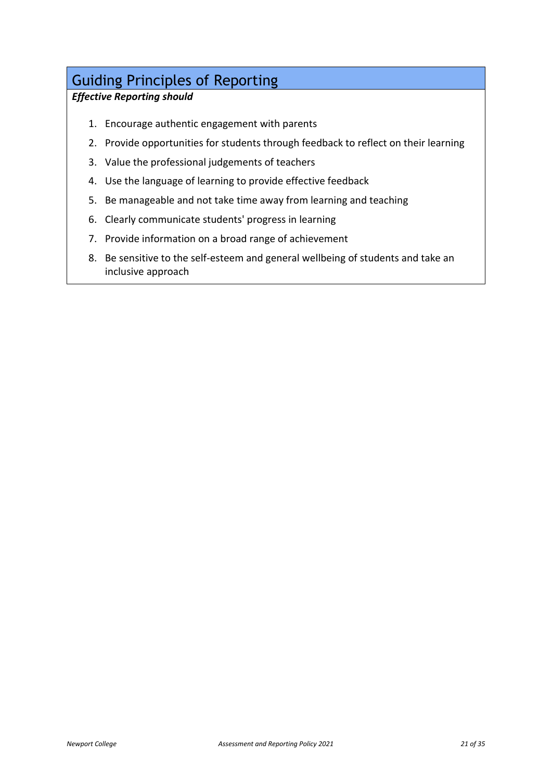### <span id="page-20-0"></span>Guiding Principles of Reporting

### *Effective Reporting should*

- 1. Encourage authentic engagement with parents
- 2. Provide opportunities for students through feedback to reflect on their learning
- 3. Value the professional judgements of teachers
- 4. Use the language of learning to provide effective feedback
- 5. Be manageable and not take time away from learning and teaching
- 6. Clearly communicate students' progress in learning
- 7. Provide information on a broad range of achievement
- 8. Be sensitive to the self-esteem and general wellbeing of students and take an inclusive approach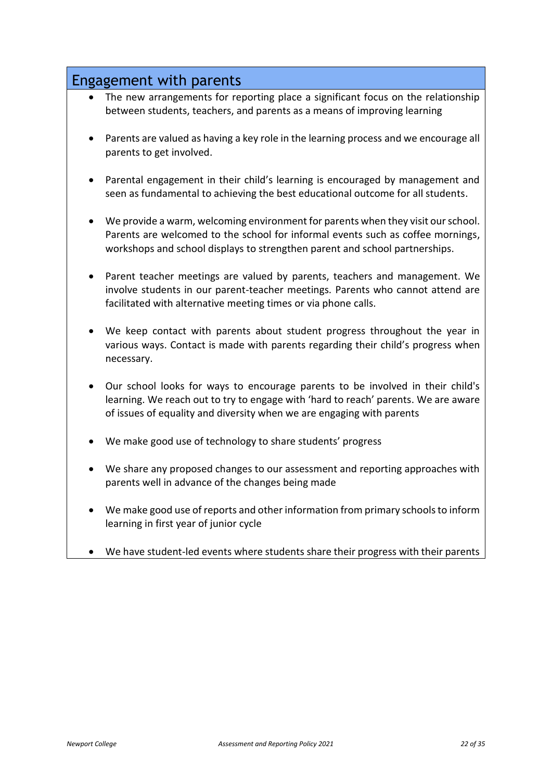### <span id="page-21-0"></span>Engagement with parents

- The new arrangements for reporting place a significant focus on the relationship between students, teachers, and parents as a means of improving learning
- Parents are valued as having a key role in the learning process and we encourage all parents to get involved.
- Parental engagement in their child's learning is encouraged by management and seen as fundamental to achieving the best educational outcome for all students.
- We provide a warm, welcoming environment for parents when they visit our school. Parents are welcomed to the school for informal events such as coffee mornings, workshops and school displays to strengthen parent and school partnerships.
- Parent teacher meetings are valued by parents, teachers and management. We involve students in our parent-teacher meetings. Parents who cannot attend are facilitated with alternative meeting times or via phone calls.
- We keep contact with parents about student progress throughout the year in various ways. Contact is made with parents regarding their child's progress when necessary.
- Our school looks for ways to encourage parents to be involved in their child's learning. We reach out to try to engage with 'hard to reach' parents. We are aware of issues of equality and diversity when we are engaging with parents
- We make good use of technology to share students' progress
- We share any proposed changes to our assessment and reporting approaches with parents well in advance of the changes being made
- We make good use of reports and other information from primary schools to inform learning in first year of junior cycle
- We have student-led events where students share their progress with their parents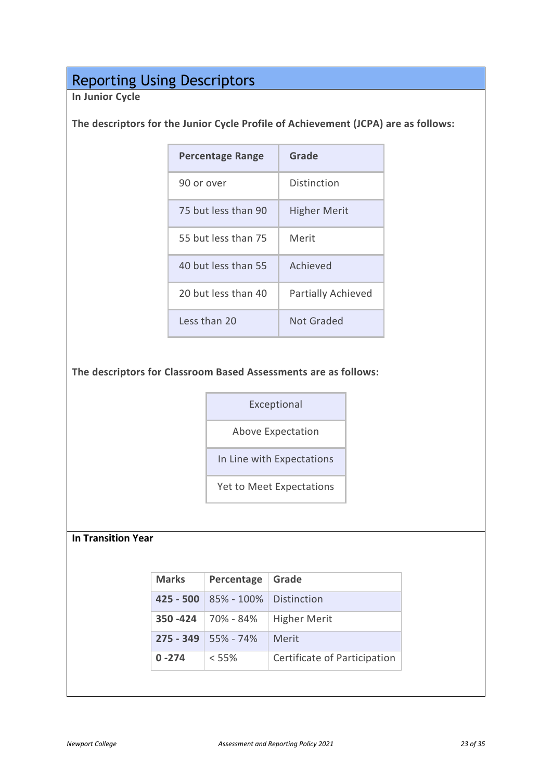## <span id="page-22-0"></span>Reporting Using Descriptors

**In Junior Cycle** 

#### **The descriptors for the Junior Cycle Profile of Achievement (JCPA) are as follows:**

| Percentage Range    | Grade               |
|---------------------|---------------------|
| 90 or over          | Distinction         |
| 75 but less than 90 | <b>Higher Merit</b> |
| 55 but less than 75 | Merit               |
| 40 but less than 55 | Achieved            |
| 20 but less than 40 | Partially Achieved  |
| Less than 20        | Not Graded          |

#### **The descriptors for Classroom Based Assessments are as follows:**

Exceptional

Above Expectation

In Line with Expectations

Yet to Meet Expectations

#### **In Transition Year**

| <b>Marks</b> | Percentage     | Grade                        |
|--------------|----------------|------------------------------|
| $425 - 500$  | $85\% - 100\%$ | <b>Distinction</b>           |
| $350 - 424$  | 70% - 84%      | <b>Higher Merit</b>          |
| $275 - 349$  | $55\% - 74\%$  | Merit                        |
| $0 - 274$    | $< 55\%$       | Certificate of Participation |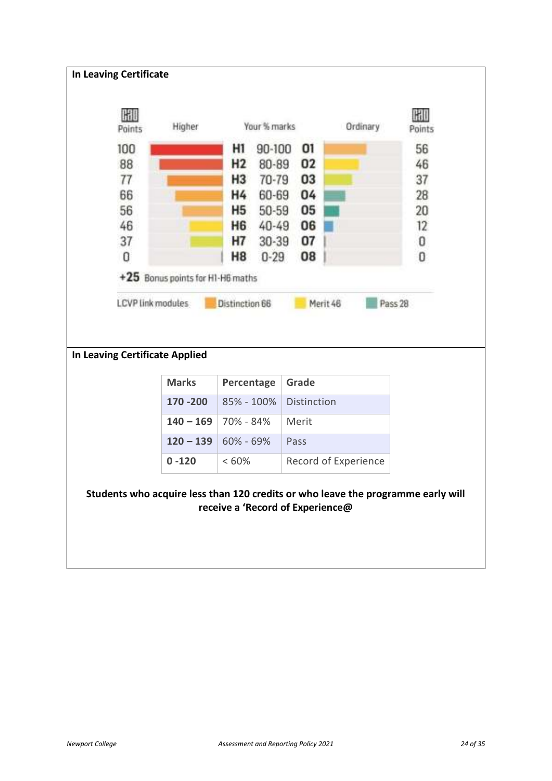| HU<br>Points                                        | Higher                           | Your % marks            |                    | Ordinary             | GRID<br>Points |
|-----------------------------------------------------|----------------------------------|-------------------------|--------------------|----------------------|----------------|
| 100                                                 |                                  | HI<br>90-100            | 01                 |                      | 56             |
| 88                                                  |                                  | H2<br>80-89             | 02                 |                      | 46             |
| 77                                                  |                                  | H <sub>3</sub><br>70-79 | 03                 |                      | 37             |
| 66                                                  |                                  | Η4<br>60-69             | 04                 |                      | 28             |
| 56                                                  |                                  | <b>H5</b><br>50-59      | 05                 |                      | 20             |
| 46                                                  |                                  | <b>H6</b><br>40-49      | 06                 |                      | 12             |
| 37                                                  |                                  | <b>H7</b><br>$30 - 39$  | 07                 |                      | 0              |
| 0                                                   |                                  | H8<br>$0 - 29$          | 08                 |                      | 0              |
| LCVP link modules<br>In Leaving Certificate Applied | +25 Bonus points for H1-H6 maths | Distinction 66          | Merit 46           |                      | Pass 28        |
|                                                     | <b>Marks</b>                     | Percentage              | Grade              |                      |                |
|                                                     | 170 - 200                        | 85% - 100%              | <b>Distinction</b> |                      |                |
|                                                     | $140 - 169$                      | 70% - 84%               | Merit              |                      |                |
|                                                     | $120 - 139$                      | 60% - 69%               | Pass               |                      |                |
|                                                     | $0 - 120$                        | <60%                    |                    | Record of Experience |                |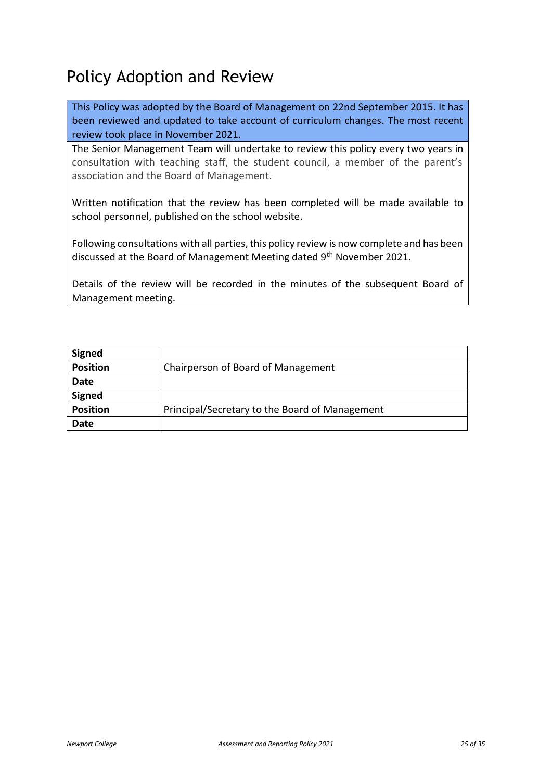# <span id="page-24-0"></span>Policy Adoption and Review

This Policy was adopted by the Board of Management on 22nd September 2015. It has been reviewed and updated to take account of curriculum changes. The most recent review took place in November 2021.

The Senior Management Team will undertake to review this policy every two years in consultation with teaching staff, the student council, a member of the parent's association and the Board of Management.

Written notification that the review has been completed will be made available to school personnel, published on the school website.

Following consultations with all parties, this policy review is now complete and has been discussed at the Board of Management Meeting dated 9<sup>th</sup> November 2021.

Details of the review will be recorded in the minutes of the subsequent Board of Management meeting.

| <b>Signed</b>   |                                                |
|-----------------|------------------------------------------------|
| <b>Position</b> | Chairperson of Board of Management             |
| Date            |                                                |
| <b>Signed</b>   |                                                |
| <b>Position</b> | Principal/Secretary to the Board of Management |
| Date            |                                                |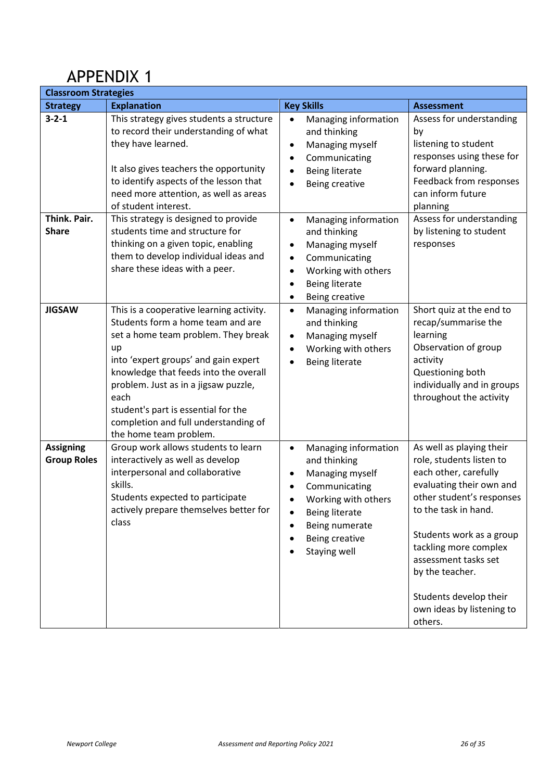# <span id="page-25-0"></span>APPENDIX 1

| <b>Classroom Strategies</b>            |                                                                                                                                                                                                                                                                                                                                                                      |                                                                                                                                                                                                        |                                                                                                                                                                                                                                                                                                                                  |  |  |
|----------------------------------------|----------------------------------------------------------------------------------------------------------------------------------------------------------------------------------------------------------------------------------------------------------------------------------------------------------------------------------------------------------------------|--------------------------------------------------------------------------------------------------------------------------------------------------------------------------------------------------------|----------------------------------------------------------------------------------------------------------------------------------------------------------------------------------------------------------------------------------------------------------------------------------------------------------------------------------|--|--|
| <b>Strategy</b>                        | <b>Explanation</b>                                                                                                                                                                                                                                                                                                                                                   | <b>Key Skills</b>                                                                                                                                                                                      | <b>Assessment</b>                                                                                                                                                                                                                                                                                                                |  |  |
| $3 - 2 - 1$                            | This strategy gives students a structure<br>to record their understanding of what<br>they have learned.<br>It also gives teachers the opportunity<br>to identify aspects of the lesson that<br>need more attention, as well as areas<br>of student interest.                                                                                                         | Managing information<br>$\bullet$<br>and thinking<br>Managing myself<br>٠<br>Communicating<br>$\bullet$<br><b>Being literate</b><br>Being creative                                                     | Assess for understanding<br>by<br>listening to student<br>responses using these for<br>forward planning.<br>Feedback from responses<br>can inform future<br>planning                                                                                                                                                             |  |  |
| Think. Pair.<br><b>Share</b>           | This strategy is designed to provide<br>students time and structure for<br>thinking on a given topic, enabling<br>them to develop individual ideas and<br>share these ideas with a peer.                                                                                                                                                                             | Managing information<br>$\bullet$<br>and thinking<br>Managing myself<br>$\bullet$<br>Communicating<br>٠<br>Working with others<br>٠<br><b>Being literate</b><br>Being creative<br>$\bullet$            | Assess for understanding<br>by listening to student<br>responses                                                                                                                                                                                                                                                                 |  |  |
| <b>JIGSAW</b>                          | This is a cooperative learning activity.<br>Students form a home team and are<br>set a home team problem. They break<br>up<br>into 'expert groups' and gain expert<br>knowledge that feeds into the overall<br>problem. Just as in a jigsaw puzzle,<br>each<br>student's part is essential for the<br>completion and full understanding of<br>the home team problem. | Managing information<br>٠<br>and thinking<br>Managing myself<br>٠<br>Working with others<br>$\bullet$<br><b>Being literate</b>                                                                         | Short quiz at the end to<br>recap/summarise the<br>learning<br>Observation of group<br>activity<br>Questioning both<br>individually and in groups<br>throughout the activity                                                                                                                                                     |  |  |
| <b>Assigning</b><br><b>Group Roles</b> | Group work allows students to learn<br>interactively as well as develop<br>interpersonal and collaborative<br>skills.<br>Students expected to participate<br>actively prepare themselves better for<br>class                                                                                                                                                         | Managing information<br>$\bullet$<br>and thinking<br>Managing myself<br>$\bullet$<br>Communicating<br>Working with others<br><b>Being literate</b><br>Being numerate<br>Being creative<br>Staying well | As well as playing their<br>role, students listen to<br>each other, carefully<br>evaluating their own and<br>other student's responses<br>to the task in hand.<br>Students work as a group<br>tackling more complex<br>assessment tasks set<br>by the teacher.<br>Students develop their<br>own ideas by listening to<br>others. |  |  |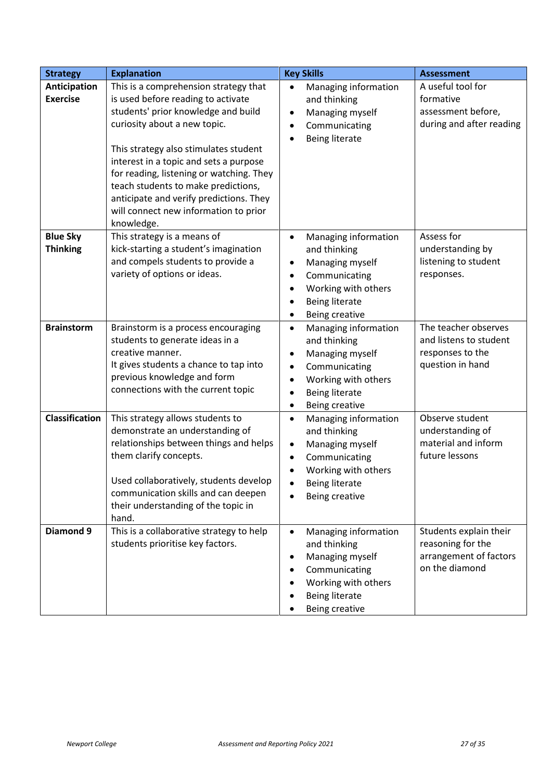| <b>Strategy</b>       | <b>Explanation</b>                                                           | <b>Key Skills</b>                  | <b>Assessment</b>                           |
|-----------------------|------------------------------------------------------------------------------|------------------------------------|---------------------------------------------|
| Anticipation          | This is a comprehension strategy that                                        | Managing information<br>$\bullet$  | A useful tool for                           |
| <b>Exercise</b>       | is used before reading to activate                                           | and thinking                       | formative                                   |
|                       | students' prior knowledge and build                                          | Managing myself<br>$\bullet$       | assessment before,                          |
|                       | curiosity about a new topic.                                                 | Communicating<br>$\bullet$         | during and after reading                    |
|                       |                                                                              | <b>Being literate</b><br>$\bullet$ |                                             |
|                       | This strategy also stimulates student                                        |                                    |                                             |
|                       | interest in a topic and sets a purpose                                       |                                    |                                             |
|                       | for reading, listening or watching. They                                     |                                    |                                             |
|                       | teach students to make predictions,                                          |                                    |                                             |
|                       | anticipate and verify predictions. They                                      |                                    |                                             |
|                       | will connect new information to prior                                        |                                    |                                             |
|                       | knowledge.                                                                   |                                    |                                             |
| <b>Blue Sky</b>       | This strategy is a means of                                                  | Managing information<br>$\bullet$  | Assess for                                  |
| <b>Thinking</b>       | kick-starting a student's imagination                                        | and thinking                       | understanding by                            |
|                       | and compels students to provide a                                            | Managing myself<br>$\bullet$       | listening to student                        |
|                       | variety of options or ideas.                                                 | Communicating<br>$\bullet$         | responses.                                  |
|                       |                                                                              | Working with others<br>$\bullet$   |                                             |
|                       |                                                                              | <b>Being literate</b><br>$\bullet$ |                                             |
|                       |                                                                              | Being creative<br>$\bullet$        |                                             |
| <b>Brainstorm</b>     | Brainstorm is a process encouraging                                          | Managing information<br>$\bullet$  | The teacher observes                        |
|                       | students to generate ideas in a                                              | and thinking                       | and listens to student                      |
|                       | creative manner.                                                             | Managing myself<br>$\bullet$       | responses to the                            |
|                       | It gives students a chance to tap into                                       | Communicating<br>٠                 | question in hand                            |
|                       | previous knowledge and form                                                  | Working with others<br>$\bullet$   |                                             |
|                       | connections with the current topic                                           | <b>Being literate</b><br>$\bullet$ |                                             |
|                       |                                                                              | Being creative<br>٠                |                                             |
| <b>Classification</b> | This strategy allows students to                                             | Managing information<br>$\bullet$  | Observe student                             |
|                       | demonstrate an understanding of                                              | and thinking                       | understanding of                            |
|                       | relationships between things and helps                                       | Managing myself<br>$\bullet$       | material and inform                         |
|                       | them clarify concepts.                                                       | Communicating<br>$\bullet$         | future lessons                              |
|                       |                                                                              | Working with others                |                                             |
|                       | Used collaboratively, students develop                                       | <b>Being literate</b>              |                                             |
|                       | communication skills and can deepen                                          | Being creative                     |                                             |
|                       | their understanding of the topic in                                          |                                    |                                             |
| Diamond 9             | hand.                                                                        |                                    |                                             |
|                       | This is a collaborative strategy to help<br>students prioritise key factors. | Managing information<br>$\bullet$  | Students explain their<br>reasoning for the |
|                       |                                                                              | and thinking                       | arrangement of factors                      |
|                       |                                                                              | Managing myself<br>$\bullet$       | on the diamond                              |
|                       |                                                                              | Communicating                      |                                             |
|                       |                                                                              | Working with others                |                                             |
|                       |                                                                              | <b>Being literate</b>              |                                             |
|                       |                                                                              | Being creative                     |                                             |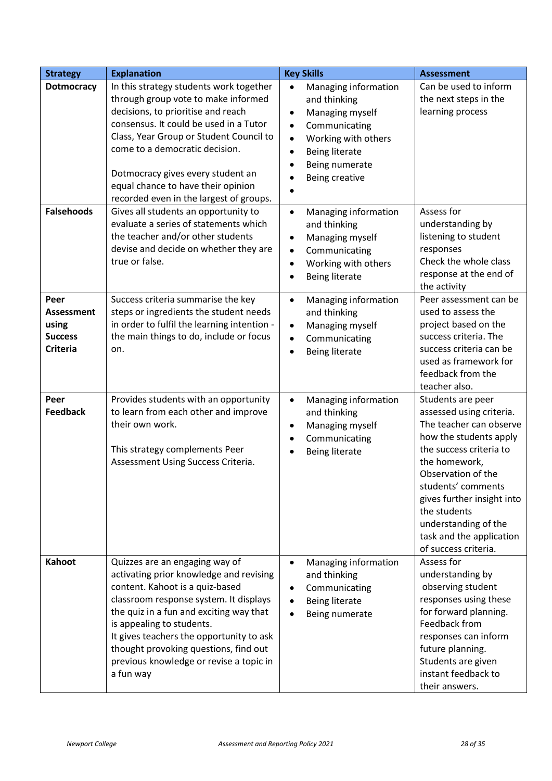| <b>Strategy</b>                                                         | <b>Explanation</b>                                                                                                                                                                                                                                                                                                                                                          | <b>Key Skills</b>                                                                                                                                                                                                                          | <b>Assessment</b>                                                                                                                                                                                                                                                                                                    |
|-------------------------------------------------------------------------|-----------------------------------------------------------------------------------------------------------------------------------------------------------------------------------------------------------------------------------------------------------------------------------------------------------------------------------------------------------------------------|--------------------------------------------------------------------------------------------------------------------------------------------------------------------------------------------------------------------------------------------|----------------------------------------------------------------------------------------------------------------------------------------------------------------------------------------------------------------------------------------------------------------------------------------------------------------------|
| <b>Dotmocracy</b>                                                       | In this strategy students work together<br>through group vote to make informed<br>decisions, to prioritise and reach<br>consensus. It could be used in a Tutor<br>Class, Year Group or Student Council to<br>come to a democratic decision.<br>Dotmocracy gives every student an<br>equal chance to have their opinion<br>recorded even in the largest of groups.           | Managing information<br>$\bullet$<br>and thinking<br>Managing myself<br>$\bullet$<br>Communicating<br>$\bullet$<br>Working with others<br>$\bullet$<br><b>Being literate</b><br>$\bullet$<br>Being numerate<br>$\bullet$<br>Being creative | Can be used to inform<br>the next steps in the<br>learning process                                                                                                                                                                                                                                                   |
| <b>Falsehoods</b>                                                       | Gives all students an opportunity to<br>evaluate a series of statements which<br>the teacher and/or other students<br>devise and decide on whether they are<br>true or false.                                                                                                                                                                                               | Managing information<br>$\bullet$<br>and thinking<br>Managing myself<br>$\bullet$<br>Communicating<br>$\bullet$<br>Working with others<br>$\bullet$<br><b>Being literate</b><br>$\bullet$                                                  | Assess for<br>understanding by<br>listening to student<br>responses<br>Check the whole class<br>response at the end of<br>the activity                                                                                                                                                                               |
| Peer<br><b>Assessment</b><br>using<br><b>Success</b><br><b>Criteria</b> | Success criteria summarise the key<br>steps or ingredients the student needs<br>in order to fulfil the learning intention -<br>the main things to do, include or focus<br>on.                                                                                                                                                                                               | Managing information<br>$\bullet$<br>and thinking<br>Managing myself<br>$\bullet$<br>Communicating<br>$\bullet$<br><b>Being literate</b><br>$\bullet$                                                                                      | Peer assessment can be<br>used to assess the<br>project based on the<br>success criteria. The<br>success criteria can be<br>used as framework for<br>feedback from the<br>teacher also.                                                                                                                              |
| Peer<br><b>Feedback</b>                                                 | Provides students with an opportunity<br>to learn from each other and improve<br>their own work.<br>This strategy complements Peer<br>Assessment Using Success Criteria.                                                                                                                                                                                                    | Managing information<br>$\bullet$<br>and thinking<br>Managing myself<br>$\bullet$<br>Communicating<br>$\bullet$<br><b>Being literate</b>                                                                                                   | Students are peer<br>assessed using criteria.<br>The teacher can observe<br>how the students apply<br>the success criteria to<br>the homework,<br>Observation of the<br>students' comments<br>gives further insight into<br>the students<br>understanding of the<br>task and the application<br>of success criteria. |
| Kahoot                                                                  | Quizzes are an engaging way of<br>activating prior knowledge and revising<br>content. Kahoot is a quiz-based<br>classroom response system. It displays<br>the quiz in a fun and exciting way that<br>is appealing to students.<br>It gives teachers the opportunity to ask<br>thought provoking questions, find out<br>previous knowledge or revise a topic in<br>a fun way | Managing information<br>$\bullet$<br>and thinking<br>Communicating<br>$\bullet$<br><b>Being literate</b><br>$\bullet$<br>Being numerate                                                                                                    | Assess for<br>understanding by<br>observing student<br>responses using these<br>for forward planning.<br>Feedback from<br>responses can inform<br>future planning.<br>Students are given<br>instant feedback to<br>their answers.                                                                                    |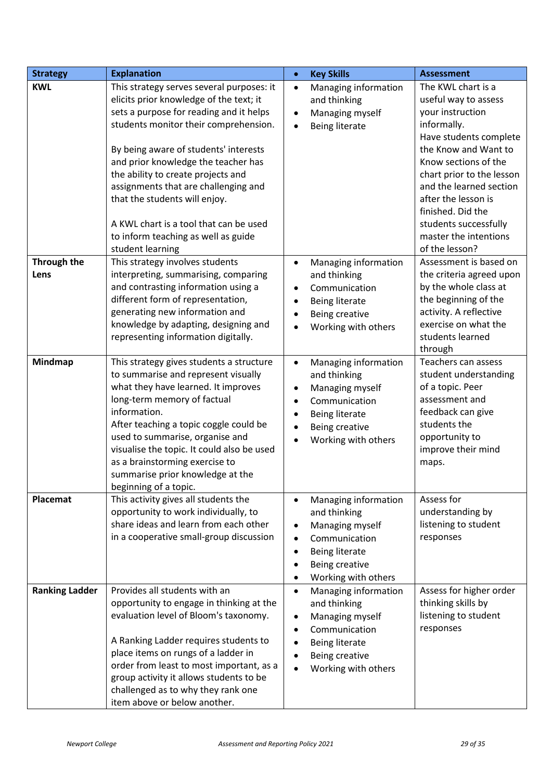| <b>Strategy</b>       | <b>Explanation</b>                                                                                                                                                                                                                                                                                                                                                                                                                                                           | $\bullet$                                                     | <b>Key Skills</b>                                                                                                                   | <b>Assessment</b>                                                                                                                                                                                                                                                                                                               |
|-----------------------|------------------------------------------------------------------------------------------------------------------------------------------------------------------------------------------------------------------------------------------------------------------------------------------------------------------------------------------------------------------------------------------------------------------------------------------------------------------------------|---------------------------------------------------------------|-------------------------------------------------------------------------------------------------------------------------------------|---------------------------------------------------------------------------------------------------------------------------------------------------------------------------------------------------------------------------------------------------------------------------------------------------------------------------------|
| <b>KWL</b>            | This strategy serves several purposes: it<br>elicits prior knowledge of the text; it<br>sets a purpose for reading and it helps<br>students monitor their comprehension.<br>By being aware of students' interests<br>and prior knowledge the teacher has<br>the ability to create projects and<br>assignments that are challenging and<br>that the students will enjoy.<br>A KWL chart is a tool that can be used<br>to inform teaching as well as guide<br>student learning | $\bullet$<br>$\bullet$<br>$\bullet$                           | Managing information<br>and thinking<br>Managing myself<br>Being literate                                                           | The KWL chart is a<br>useful way to assess<br>your instruction<br>informally.<br>Have students complete<br>the Know and Want to<br>Know sections of the<br>chart prior to the lesson<br>and the learned section<br>after the lesson is<br>finished. Did the<br>students successfully<br>master the intentions<br>of the lesson? |
| Through the<br>Lens   | This strategy involves students<br>interpreting, summarising, comparing<br>and contrasting information using a<br>different form of representation,<br>generating new information and<br>knowledge by adapting, designing and<br>representing information digitally.                                                                                                                                                                                                         | $\bullet$<br>$\bullet$<br>$\bullet$<br>$\bullet$              | Managing information<br>and thinking<br>Communication<br>Being literate<br>Being creative<br>Working with others                    | Assessment is based on<br>the criteria agreed upon<br>by the whole class at<br>the beginning of the<br>activity. A reflective<br>exercise on what the<br>students learned<br>through                                                                                                                                            |
| Mindmap               | This strategy gives students a structure<br>to summarise and represent visually<br>what they have learned. It improves<br>long-term memory of factual<br>information.<br>After teaching a topic coggle could be<br>used to summarise, organise and<br>visualise the topic. It could also be used<br>as a brainstorming exercise to<br>summarise prior knowledge at the<br>beginning of a topic.                                                                              | $\bullet$<br>$\bullet$<br>$\bullet$<br>$\bullet$<br>$\bullet$ | Managing information<br>and thinking<br>Managing myself<br>Communication<br>Being literate<br>Being creative<br>Working with others | Teachers can assess<br>student understanding<br>of a topic. Peer<br>assessment and<br>feedback can give<br>students the<br>opportunity to<br>improve their mind<br>maps.                                                                                                                                                        |
| Placemat              | This activity gives all students the<br>opportunity to work individually, to<br>share ideas and learn from each other<br>in a cooperative small-group discussion                                                                                                                                                                                                                                                                                                             | ٠<br>$\bullet$<br>٠<br>٠                                      | Managing information<br>and thinking<br>Managing myself<br>Communication<br>Being literate<br>Being creative<br>Working with others | Assess for<br>understanding by<br>listening to student<br>responses                                                                                                                                                                                                                                                             |
| <b>Ranking Ladder</b> | Provides all students with an<br>opportunity to engage in thinking at the<br>evaluation level of Bloom's taxonomy.<br>A Ranking Ladder requires students to<br>place items on rungs of a ladder in<br>order from least to most important, as a<br>group activity it allows students to be<br>challenged as to why they rank one<br>item above or below another.                                                                                                              | $\bullet$<br>٠<br>٠                                           | Managing information<br>and thinking<br>Managing myself<br>Communication<br>Being literate<br>Being creative<br>Working with others | Assess for higher order<br>thinking skills by<br>listening to student<br>responses                                                                                                                                                                                                                                              |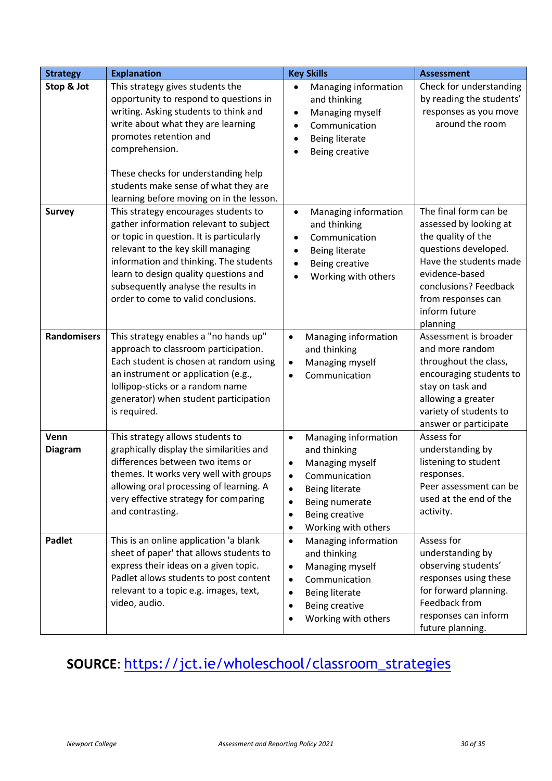| <b>Strategy</b>        | <b>Explanation</b>                                                                                                                                                                                                                                                                                                                                                            | <b>Key Skills</b>                                                                                                                                                                                                                | <b>Assessment</b>                                                                                                                                                                                                     |
|------------------------|-------------------------------------------------------------------------------------------------------------------------------------------------------------------------------------------------------------------------------------------------------------------------------------------------------------------------------------------------------------------------------|----------------------------------------------------------------------------------------------------------------------------------------------------------------------------------------------------------------------------------|-----------------------------------------------------------------------------------------------------------------------------------------------------------------------------------------------------------------------|
| Stop & Jot             | This strategy gives students the<br>opportunity to respond to questions in<br>writing. Asking students to think and<br>write about what they are learning<br>promotes retention and<br>comprehension.<br>These checks for understanding help<br>students make sense of what they are                                                                                          | Managing information<br>$\bullet$<br>and thinking<br>Managing myself<br>$\bullet$<br>Communication<br>$\bullet$<br><b>Being literate</b><br>Being creative                                                                       | Check for understanding<br>by reading the students'<br>responses as you move<br>around the room                                                                                                                       |
| <b>Survey</b>          | learning before moving on in the lesson.<br>This strategy encourages students to<br>gather information relevant to subject<br>or topic in question. It is particularly<br>relevant to the key skill managing<br>information and thinking. The students<br>learn to design quality questions and<br>subsequently analyse the results in<br>order to come to valid conclusions. | Managing information<br>$\bullet$<br>and thinking<br>Communication<br>$\bullet$<br>Being literate<br>$\bullet$<br>Being creative<br>$\bullet$<br>Working with others                                                             | The final form can be<br>assessed by looking at<br>the quality of the<br>questions developed.<br>Have the students made<br>evidence-based<br>conclusions? Feedback<br>from responses can<br>inform future<br>planning |
| <b>Randomisers</b>     | This strategy enables a "no hands up"<br>approach to classroom participation.<br>Each student is chosen at random using<br>an instrument or application (e.g.,<br>lollipop-sticks or a random name<br>generator) when student participation<br>is required.                                                                                                                   | Managing information<br>$\bullet$<br>and thinking<br>Managing myself<br>$\bullet$<br>Communication<br>$\bullet$                                                                                                                  | Assessment is broader<br>and more random<br>throughout the class,<br>encouraging students to<br>stay on task and<br>allowing a greater<br>variety of students to<br>answer or participate                             |
| Venn<br><b>Diagram</b> | This strategy allows students to<br>graphically display the similarities and<br>differences between two items or<br>themes. It works very well with groups<br>allowing oral processing of learning. A<br>very effective strategy for comparing<br>and contrasting.                                                                                                            | Managing information<br>$\bullet$<br>and thinking<br>Managing myself<br>٠<br>Communication<br>$\bullet$<br>Being literate<br>٠<br>Being numerate<br>$\bullet$<br>Being creative<br>$\bullet$<br>Working with others<br>$\bullet$ | Assess for<br>understanding by<br>listening to student<br>responses.<br>Peer assessment can be<br>used at the end of the<br>activity.                                                                                 |
| <b>Padlet</b>          | This is an online application 'a blank<br>sheet of paper' that allows students to<br>express their ideas on a given topic.<br>Padlet allows students to post content<br>relevant to a topic e.g. images, text,<br>video, audio.                                                                                                                                               | Managing information<br>$\bullet$<br>and thinking<br>Managing myself<br>$\bullet$<br>Communication<br>$\bullet$<br>Being literate<br>$\bullet$<br>Being creative<br>$\bullet$<br>Working with others<br>$\bullet$                | Assess for<br>understanding by<br>observing students'<br>responses using these<br>for forward planning.<br>Feedback from<br>responses can inform<br>future planning.                                                  |

# **SOURCE**: [https://jct.ie/wholeschool/classroom\\_strategies](https://jct.ie/wholeschool/classroom_strategies)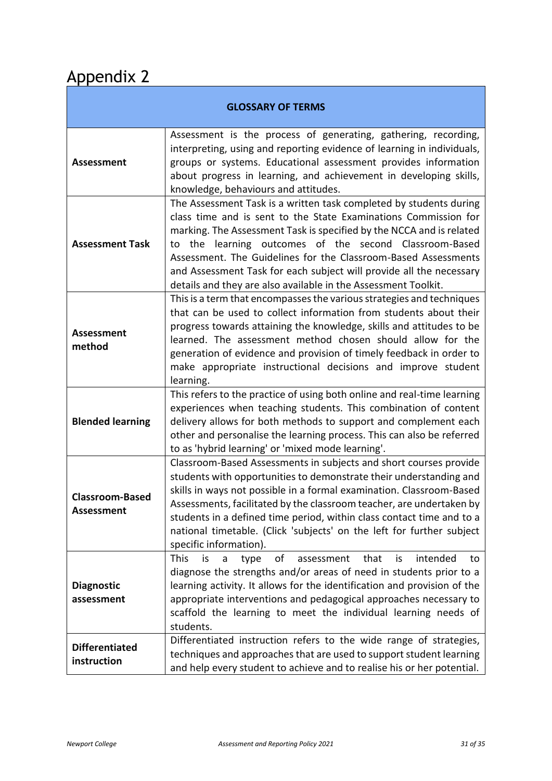# <span id="page-30-0"></span>Appendix 2

| <b>GLOSSARY OF TERMS</b>             |                                                                                                                                                                                                                                                                                                                                                                                                                                                                                       |  |  |
|--------------------------------------|---------------------------------------------------------------------------------------------------------------------------------------------------------------------------------------------------------------------------------------------------------------------------------------------------------------------------------------------------------------------------------------------------------------------------------------------------------------------------------------|--|--|
| <b>Assessment</b>                    | Assessment is the process of generating, gathering, recording,<br>interpreting, using and reporting evidence of learning in individuals,<br>groups or systems. Educational assessment provides information<br>about progress in learning, and achievement in developing skills,<br>knowledge, behaviours and attitudes.                                                                                                                                                               |  |  |
| <b>Assessment Task</b>               | The Assessment Task is a written task completed by students during<br>class time and is sent to the State Examinations Commission for<br>marking. The Assessment Task is specified by the NCCA and is related<br>the learning outcomes of the second Classroom-Based<br>to<br>Assessment. The Guidelines for the Classroom-Based Assessments<br>and Assessment Task for each subject will provide all the necessary<br>details and they are also available in the Assessment Toolkit. |  |  |
| <b>Assessment</b><br>method          | This is a term that encompasses the various strategies and techniques<br>that can be used to collect information from students about their<br>progress towards attaining the knowledge, skills and attitudes to be<br>learned. The assessment method chosen should allow for the<br>generation of evidence and provision of timely feedback in order to<br>make appropriate instructional decisions and improve student<br>learning.                                                  |  |  |
| <b>Blended learning</b>              | This refers to the practice of using both online and real-time learning<br>experiences when teaching students. This combination of content<br>delivery allows for both methods to support and complement each<br>other and personalise the learning process. This can also be referred<br>to as 'hybrid learning' or 'mixed mode learning'.                                                                                                                                           |  |  |
| <b>Classroom-Based</b><br>Assessment | Classroom-Based Assessments in subjects and short courses provide<br>students with opportunities to demonstrate their understanding and<br>skills in ways not possible in a formal examination. Classroom-Based<br>Assessments, facilitated by the classroom teacher, are undertaken by<br>students in a defined time period, within class contact time and to a<br>national timetable. (Click 'subjects' on the left for further subject<br>specific information).                   |  |  |
| <b>Diagnostic</b><br>assessment      | This<br>of<br>that<br>intended<br>is<br>assessment<br>is<br>type<br>a<br>to<br>diagnose the strengths and/or areas of need in students prior to a<br>learning activity. It allows for the identification and provision of the<br>appropriate interventions and pedagogical approaches necessary to<br>scaffold the learning to meet the individual learning needs of<br>students.                                                                                                     |  |  |
| <b>Differentiated</b><br>instruction | Differentiated instruction refers to the wide range of strategies,<br>techniques and approaches that are used to support student learning<br>and help every student to achieve and to realise his or her potential.                                                                                                                                                                                                                                                                   |  |  |

ī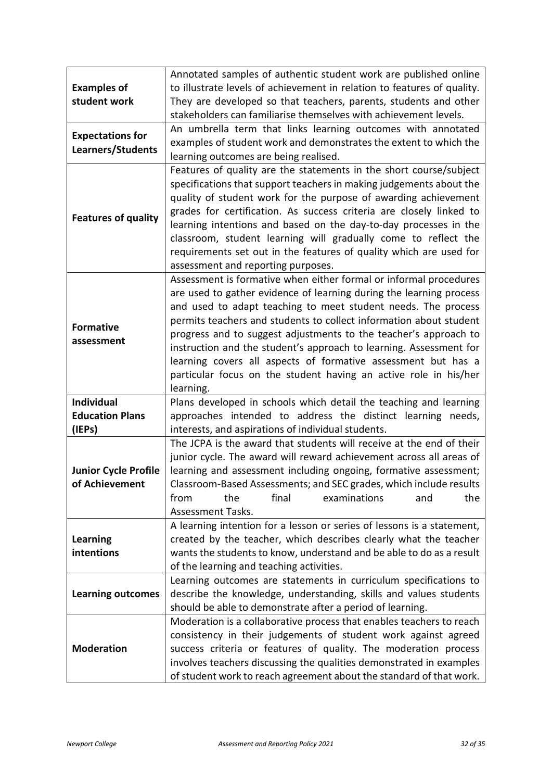| <b>Examples of</b><br>student work            | Annotated samples of authentic student work are published online<br>to illustrate levels of achievement in relation to features of quality.<br>They are developed so that teachers, parents, students and other                                                                                                                                                                                                                                                                                                                                                             |
|-----------------------------------------------|-----------------------------------------------------------------------------------------------------------------------------------------------------------------------------------------------------------------------------------------------------------------------------------------------------------------------------------------------------------------------------------------------------------------------------------------------------------------------------------------------------------------------------------------------------------------------------|
|                                               | stakeholders can familiarise themselves with achievement levels.                                                                                                                                                                                                                                                                                                                                                                                                                                                                                                            |
| <b>Expectations for</b><br>Learners/Students  | An umbrella term that links learning outcomes with annotated<br>examples of student work and demonstrates the extent to which the<br>learning outcomes are being realised.                                                                                                                                                                                                                                                                                                                                                                                                  |
| <b>Features of quality</b>                    | Features of quality are the statements in the short course/subject<br>specifications that support teachers in making judgements about the<br>quality of student work for the purpose of awarding achievement<br>grades for certification. As success criteria are closely linked to<br>learning intentions and based on the day-to-day processes in the<br>classroom, student learning will gradually come to reflect the<br>requirements set out in the features of quality which are used for<br>assessment and reporting purposes.                                       |
| <b>Formative</b><br>assessment                | Assessment is formative when either formal or informal procedures<br>are used to gather evidence of learning during the learning process<br>and used to adapt teaching to meet student needs. The process<br>permits teachers and students to collect information about student<br>progress and to suggest adjustments to the teacher's approach to<br>instruction and the student's approach to learning. Assessment for<br>learning covers all aspects of formative assessment but has a<br>particular focus on the student having an active role in his/her<br>learning. |
| <b>Individual</b>                             | Plans developed in schools which detail the teaching and learning                                                                                                                                                                                                                                                                                                                                                                                                                                                                                                           |
| <b>Education Plans</b><br>(IEPs)              | approaches intended to address the distinct learning needs,<br>interests, and aspirations of individual students.                                                                                                                                                                                                                                                                                                                                                                                                                                                           |
| <b>Junior Cycle Profile</b><br>of Achievement | The JCPA is the award that students will receive at the end of their<br>junior cycle. The award will reward achievement across all areas of<br>learning and assessment including ongoing, formative assessment;<br>Classroom-Based Assessments; and SEC grades, which include results<br>final<br>from<br>the<br>examinations<br>the<br>and<br><b>Assessment Tasks.</b>                                                                                                                                                                                                     |
| <b>Learning</b><br>intentions                 | A learning intention for a lesson or series of lessons is a statement,<br>created by the teacher, which describes clearly what the teacher<br>wants the students to know, understand and be able to do as a result<br>of the learning and teaching activities.                                                                                                                                                                                                                                                                                                              |
| <b>Learning outcomes</b>                      | Learning outcomes are statements in curriculum specifications to<br>describe the knowledge, understanding, skills and values students<br>should be able to demonstrate after a period of learning.                                                                                                                                                                                                                                                                                                                                                                          |
| <b>Moderation</b>                             | Moderation is a collaborative process that enables teachers to reach<br>consistency in their judgements of student work against agreed<br>success criteria or features of quality. The moderation process<br>involves teachers discussing the qualities demonstrated in examples<br>of student work to reach agreement about the standard of that work.                                                                                                                                                                                                                     |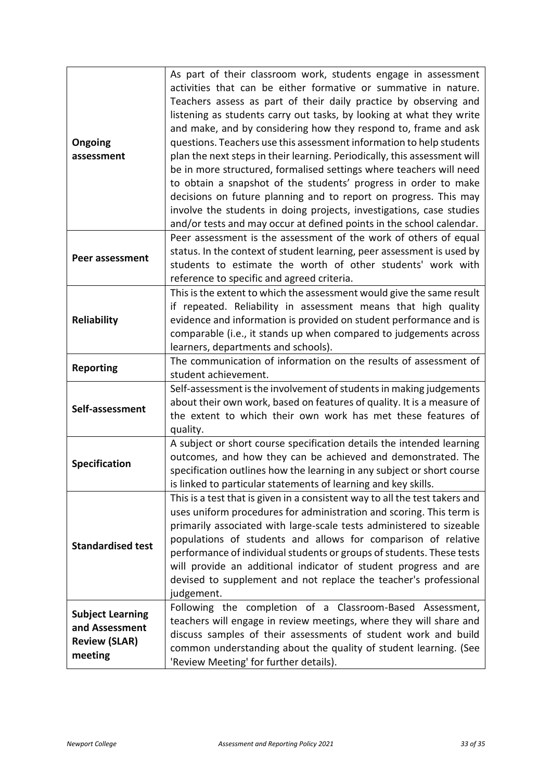| Ongoing<br>assessment                                                        | As part of their classroom work, students engage in assessment<br>activities that can be either formative or summative in nature.<br>Teachers assess as part of their daily practice by observing and<br>listening as students carry out tasks, by looking at what they write<br>and make, and by considering how they respond to, frame and ask<br>questions. Teachers use this assessment information to help students<br>plan the next steps in their learning. Periodically, this assessment will<br>be in more structured, formalised settings where teachers will need<br>to obtain a snapshot of the students' progress in order to make<br>decisions on future planning and to report on progress. This may<br>involve the students in doing projects, investigations, case studies<br>and/or tests and may occur at defined points in the school calendar. |
|------------------------------------------------------------------------------|---------------------------------------------------------------------------------------------------------------------------------------------------------------------------------------------------------------------------------------------------------------------------------------------------------------------------------------------------------------------------------------------------------------------------------------------------------------------------------------------------------------------------------------------------------------------------------------------------------------------------------------------------------------------------------------------------------------------------------------------------------------------------------------------------------------------------------------------------------------------|
| Peer assessment                                                              | Peer assessment is the assessment of the work of others of equal<br>status. In the context of student learning, peer assessment is used by<br>students to estimate the worth of other students' work with<br>reference to specific and agreed criteria.                                                                                                                                                                                                                                                                                                                                                                                                                                                                                                                                                                                                             |
| <b>Reliability</b>                                                           | This is the extent to which the assessment would give the same result<br>if repeated. Reliability in assessment means that high quality<br>evidence and information is provided on student performance and is<br>comparable (i.e., it stands up when compared to judgements across<br>learners, departments and schools).                                                                                                                                                                                                                                                                                                                                                                                                                                                                                                                                           |
| <b>Reporting</b>                                                             | The communication of information on the results of assessment of<br>student achievement.                                                                                                                                                                                                                                                                                                                                                                                                                                                                                                                                                                                                                                                                                                                                                                            |
| Self-assessment                                                              | Self-assessment is the involvement of students in making judgements<br>about their own work, based on features of quality. It is a measure of<br>the extent to which their own work has met these features of<br>quality.                                                                                                                                                                                                                                                                                                                                                                                                                                                                                                                                                                                                                                           |
| <b>Specification</b>                                                         | A subject or short course specification details the intended learning<br>outcomes, and how they can be achieved and demonstrated. The<br>specification outlines how the learning in any subject or short course<br>is linked to particular statements of learning and key skills.                                                                                                                                                                                                                                                                                                                                                                                                                                                                                                                                                                                   |
| <b>Standardised test</b>                                                     | This is a test that is given in a consistent way to all the test takers and<br>uses uniform procedures for administration and scoring. This term is<br>primarily associated with large-scale tests administered to sizeable<br>populations of students and allows for comparison of relative<br>performance of individual students or groups of students. These tests<br>will provide an additional indicator of student progress and are<br>devised to supplement and not replace the teacher's professional<br>judgement.                                                                                                                                                                                                                                                                                                                                         |
| <b>Subject Learning</b><br>and Assessment<br><b>Review (SLAR)</b><br>meeting | Following the completion of a Classroom-Based<br>Assessment,<br>teachers will engage in review meetings, where they will share and<br>discuss samples of their assessments of student work and build<br>common understanding about the quality of student learning. (See<br>'Review Meeting' for further details).                                                                                                                                                                                                                                                                                                                                                                                                                                                                                                                                                  |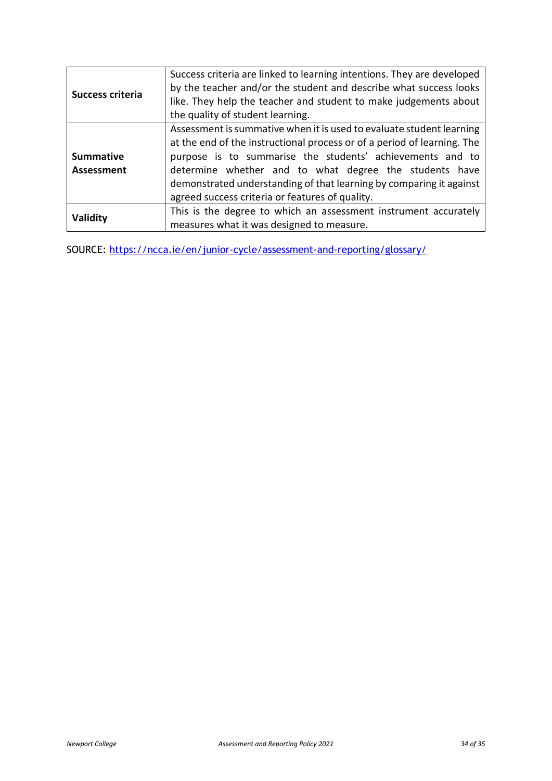| <b>Success criteria</b>               | Success criteria are linked to learning intentions. They are developed<br>by the teacher and/or the student and describe what success looks<br>like. They help the teacher and student to make judgements about<br>the quality of student learning.                                                                                                                                              |  |  |
|---------------------------------------|--------------------------------------------------------------------------------------------------------------------------------------------------------------------------------------------------------------------------------------------------------------------------------------------------------------------------------------------------------------------------------------------------|--|--|
| <b>Summative</b><br><b>Assessment</b> | Assessment is summative when it is used to evaluate student learning<br>at the end of the instructional process or of a period of learning. The<br>purpose is to summarise the students' achievements and to<br>determine whether and to what degree the students have<br>demonstrated understanding of that learning by comparing it against<br>agreed success criteria or features of quality. |  |  |
| Validity                              | This is the degree to which an assessment instrument accurately<br>measures what it was designed to measure.                                                                                                                                                                                                                                                                                     |  |  |

SOURCE:<https://ncca.ie/en/junior-cycle/assessment-and-reporting/glossary/>